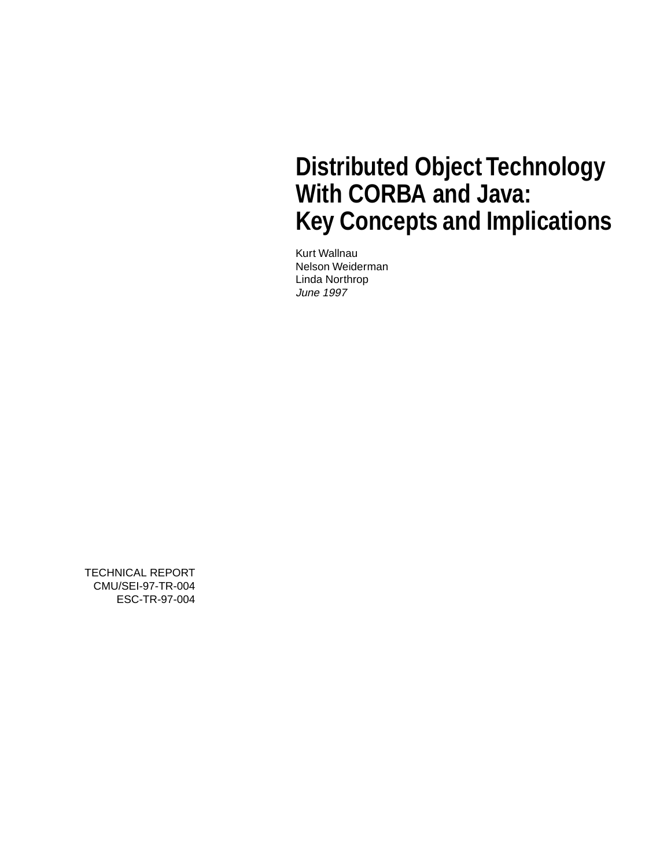# **Distributed Object Technology With CORBA and Java: Key Concepts and Implications**

Kurt Wallnau Nelson Weiderman Linda Northrop June 1997

TECHNICAL REPORT CMU/SEI-97-TR-004 ESC-TR-97-004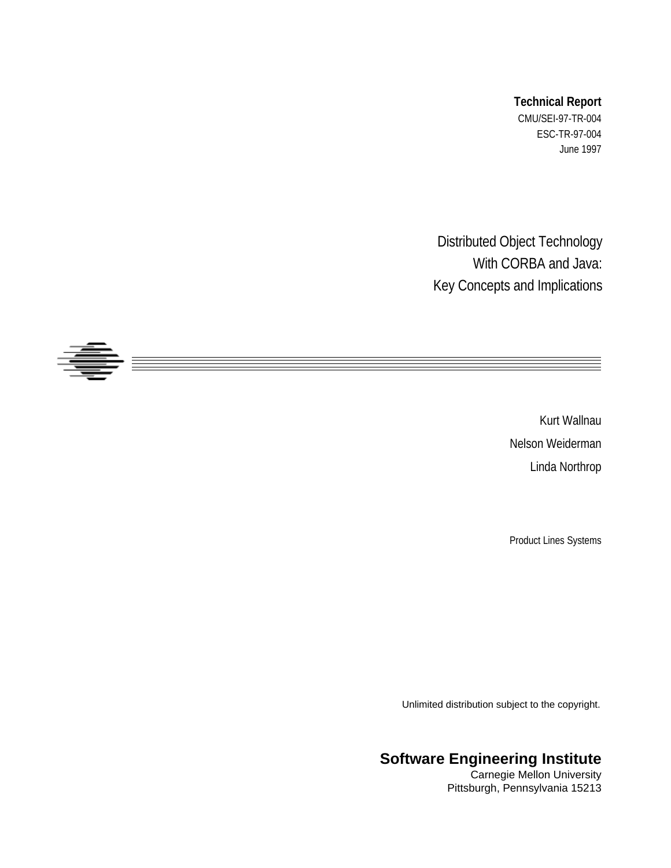#### **Technical Report**

CMU/SEI-97-TR-004 ESC-TR-97-004 June 1997

Distributed Object Technology With CORBA and Java: Key Concepts and Implications



Kurt Wallnau Nelson Weiderman Linda Northrop

Product Lines Systems

Unlimited distribution subject to the copyright.

### **Software Engineering Institute**

Carnegie Mellon University Pittsburgh, Pennsylvania 15213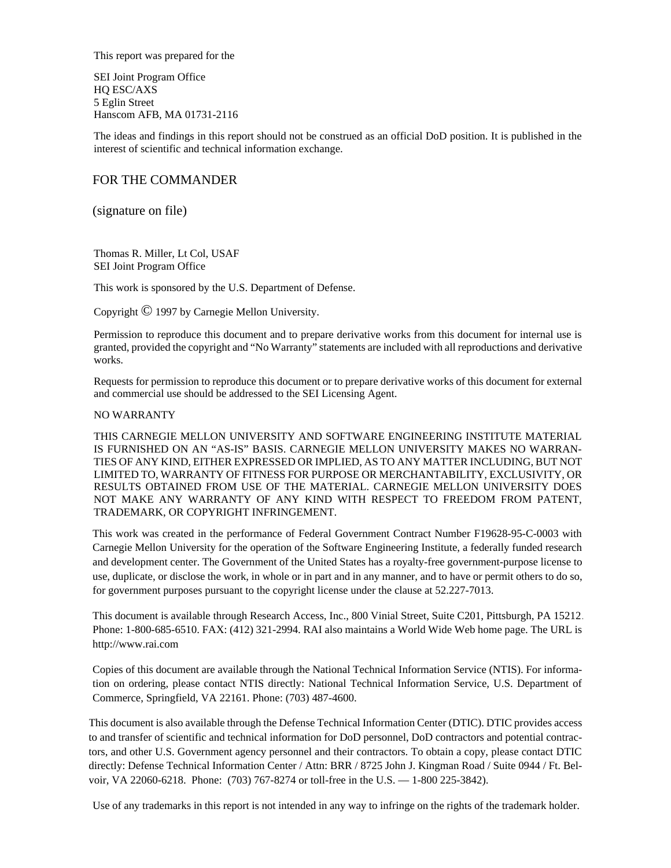This report was prepared for the

SEI Joint Program Office HQ ESC/AXS 5 Eglin Street Hanscom AFB, MA 01731-2116

The ideas and findings in this report should not be construed as an official DoD position. It is published in the interest of scientific and technical information exchange.

#### FOR THE COMMANDER

(signature on file)

Thomas R. Miller, Lt Col, USAF SEI Joint Program Office

This work is sponsored by the U.S. Department of Defense.

Copyright © 1997 by Carnegie Mellon University.

Permission to reproduce this document and to prepare derivative works from this document for internal use is granted, provided the copyright and "No Warranty" statements are included with all reproductions and derivative works.

Requests for permission to reproduce this document or to prepare derivative works of this document for external and commercial use should be addressed to the SEI Licensing Agent.

#### NO WARRANTY

THIS CARNEGIE MELLON UNIVERSITY AND SOFTWARE ENGINEERING INSTITUTE MATERIAL IS FURNISHED ON AN "AS-IS" BASIS. CARNEGIE MELLON UNIVERSITY MAKES NO WARRAN-TIES OF ANY KIND, EITHER EXPRESSED OR IMPLIED, AS TO ANY MATTER INCLUDING, BUT NOT LIMITED TO, WARRANTY OF FITNESS FOR PURPOSE OR MERCHANTABILITY, EXCLUSIVITY, OR RESULTS OBTAINED FROM USE OF THE MATERIAL. CARNEGIE MELLON UNIVERSITY DOES NOT MAKE ANY WARRANTY OF ANY KIND WITH RESPECT TO FREEDOM FROM PATENT, TRADEMARK, OR COPYRIGHT INFRINGEMENT.

This work was created in the performance of Federal Government Contract Number F19628-95-C-0003 with Carnegie Mellon University for the operation of the Software Engineering Institute, a federally funded research and development center. The Government of the United States has a royalty-free government-purpose license to use, duplicate, or disclose the work, in whole or in part and in any manner, and to have or permit others to do so, for government purposes pursuant to the copyright license under the clause at 52.227-7013.

This document is available through Research Access, Inc., 800 Vinial Street, Suite C201, Pittsburgh, PA 15212. Phone: 1-800-685-6510. FAX: (412) 321-2994. RAI also maintains a World Wide Web home page. The URL is http://www.rai.com

Copies of this document are available through the National Technical Information Service (NTIS). For information on ordering, please contact NTIS directly: National Technical Information Service, U.S. Department of Commerce, Springfield, VA 22161. Phone: (703) 487-4600.

This document is also available through the Defense Technical Information Center (DTIC). DTIC provides access to and transfer of scientific and technical information for DoD personnel, DoD contractors and potential contractors, and other U.S. Government agency personnel and their contractors. To obtain a copy, please contact DTIC directly: Defense Technical Information Center / Attn: BRR / 8725 John J. Kingman Road / Suite 0944 / Ft. Belvoir, VA 22060-6218. Phone: (703) 767-8274 or toll-free in the U.S. — 1-800 225-3842).

Use of any trademarks in this report is not intended in any way to infringe on the rights of the trademark holder.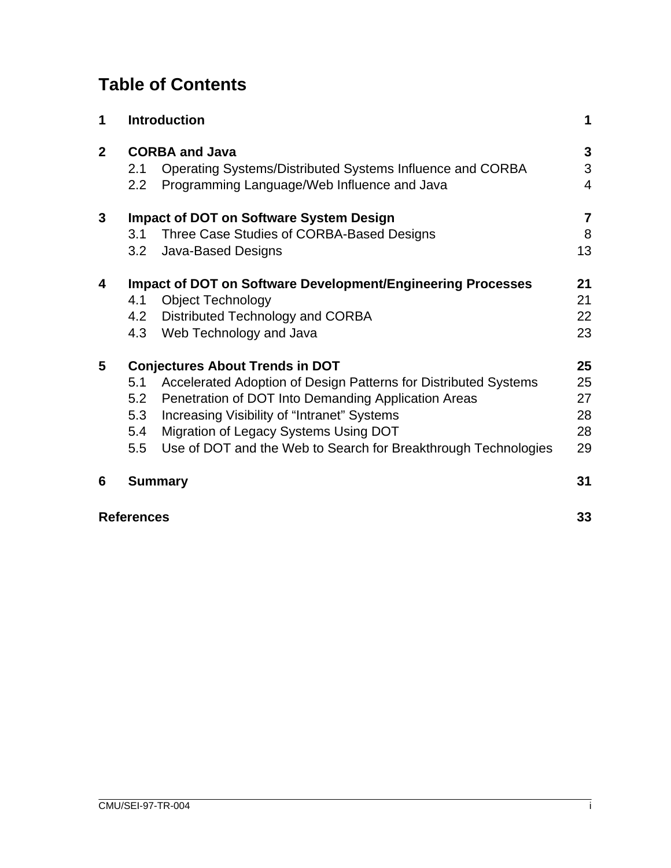## **Table of Contents**

| 1              |                                        | <b>Introduction</b>                                                                | 1                       |  |
|----------------|----------------------------------------|------------------------------------------------------------------------------------|-------------------------|--|
| $\overline{2}$ | 2.1                                    | <b>CORBA and Java</b><br>Operating Systems/Distributed Systems Influence and CORBA | $\mathbf{3}$<br>3       |  |
|                | 2.2                                    | Programming Language/Web Influence and Java                                        |                         |  |
| 3              |                                        | <b>Impact of DOT on Software System Design</b>                                     | $\overline{\mathbf{7}}$ |  |
|                | 3.1                                    | Three Case Studies of CORBA-Based Designs                                          | 8                       |  |
|                | 3.2                                    | <b>Java-Based Designs</b>                                                          | 13                      |  |
| 4              |                                        | <b>Impact of DOT on Software Development/Engineering Processes</b>                 | 21                      |  |
|                | 4.1                                    | <b>Object Technology</b>                                                           | 21                      |  |
|                |                                        | 4.2 Distributed Technology and CORBA                                               | 22                      |  |
|                | 4.3                                    | Web Technology and Java                                                            | 23                      |  |
| 5              | <b>Conjectures About Trends in DOT</b> |                                                                                    |                         |  |
|                | 5.1                                    | Accelerated Adoption of Design Patterns for Distributed Systems                    | 25                      |  |
|                | 5.2                                    | Penetration of DOT Into Demanding Application Areas                                | 27                      |  |
|                | 5.3                                    | Increasing Visibility of "Intranet" Systems                                        | 28                      |  |
|                | 5.4                                    | Migration of Legacy Systems Using DOT                                              | 28                      |  |
|                | 5.5                                    | Use of DOT and the Web to Search for Breakthrough Technologies                     | 29                      |  |
| 6              |                                        | <b>Summary</b>                                                                     | 31                      |  |
|                | <b>References</b>                      |                                                                                    | 33                      |  |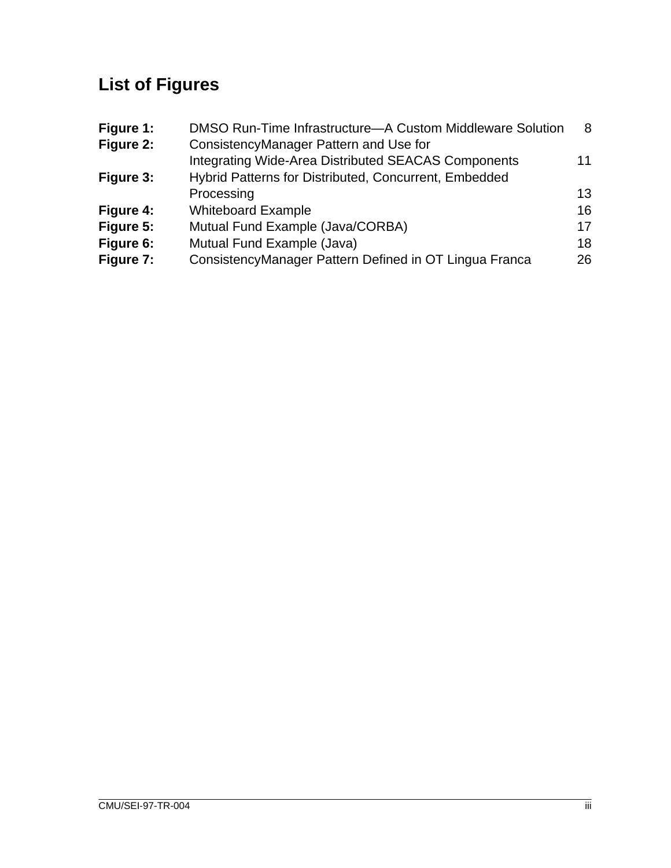# **List of Figures**

| Figure 1: | DMSO Run-Time Infrastructure-A Custom Middleware Solution  | 8  |
|-----------|------------------------------------------------------------|----|
| Figure 2: | ConsistencyManager Pattern and Use for                     |    |
|           | <b>Integrating Wide-Area Distributed SEACAS Components</b> | 11 |
| Figure 3: | Hybrid Patterns for Distributed, Concurrent, Embedded      |    |
|           | Processing                                                 | 13 |
| Figure 4: | <b>Whiteboard Example</b>                                  | 16 |
| Figure 5: | Mutual Fund Example (Java/CORBA)                           | 17 |
| Figure 6: | Mutual Fund Example (Java)                                 | 18 |
| Figure 7: | ConsistencyManager Pattern Defined in OT Lingua Franca     | 26 |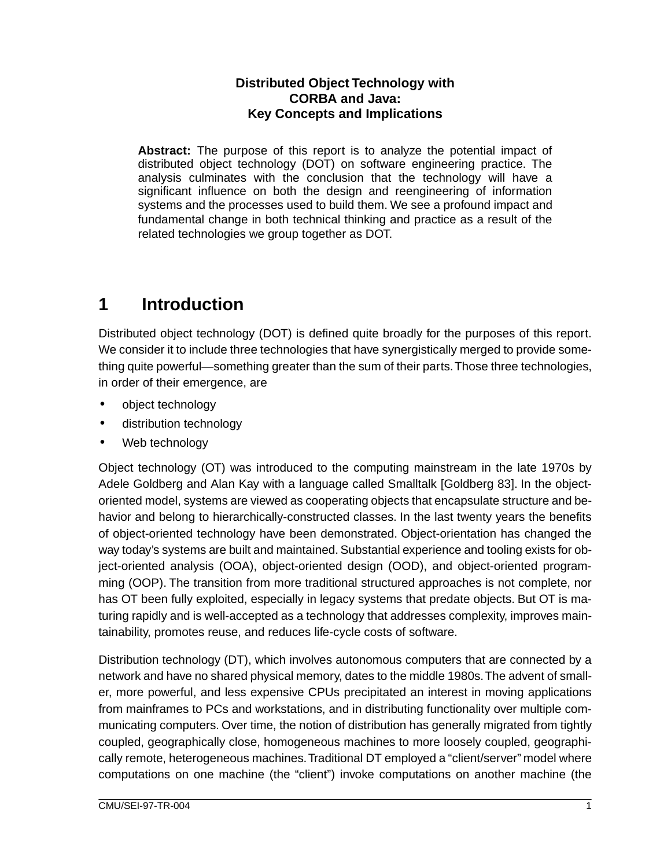#### **Distributed Object Technology with CORBA and Java: Key Concepts and Implications**

<span id="page-7-0"></span>**Abstract:** The purpose of this report is to analyze the potential impact of distributed object technology (DOT) on software engineering practice. The analysis culminates with the conclusion that the technology will have a significant influence on both the design and reengineering of information systems and the processes used to build them. We see a profound impact and fundamental change in both technical thinking and practice as a result of the related technologies we group together as DOT.

## **1 Introduction**

Distributed object technology (DOT) is defined quite broadly for the purposes of this report. We consider it to include three technologies that have synergistically merged to provide something quite powerful—something greater than the sum of their parts. Those three technologies, in order of their emergence, are

- object technology
- distribution technology
- Web technology

Object technology (OT) was introduced to the computing mainstream in the late 1970s by Adele Goldberg and Alan Kay with a language called Smalltalk [Goldberg 83]. In the objectoriented model, systems are viewed as cooperating objects that encapsulate structure and behavior and belong to hierarchically-constructed classes. In the last twenty years the benefits of object-oriented technology have been demonstrated. Object-orientation has changed the way today's systems are built and maintained. Substantial experience and tooling exists for object-oriented analysis (OOA), object-oriented design (OOD), and object-oriented programming (OOP). The transition from more traditional structured approaches is not complete, nor has OT been fully exploited, especially in legacy systems that predate objects. But OT is maturing rapidly and is well-accepted as a technology that addresses complexity, improves maintainability, promotes reuse, and reduces life-cycle costs of software.

Distribution technology (DT), which involves autonomous computers that are connected by a network and have no shared physical memory, dates to the middle 1980s. The advent of smaller, more powerful, and less expensive CPUs precipitated an interest in moving applications from mainframes to PCs and workstations, and in distributing functionality over multiple communicating computers. Over time, the notion of distribution has generally migrated from tightly coupled, geographically close, homogeneous machines to more loosely coupled, geographically remote, heterogeneous machines. Traditional DT employed a "client/server" model where computations on one machine (the "client") invoke computations on another machine (the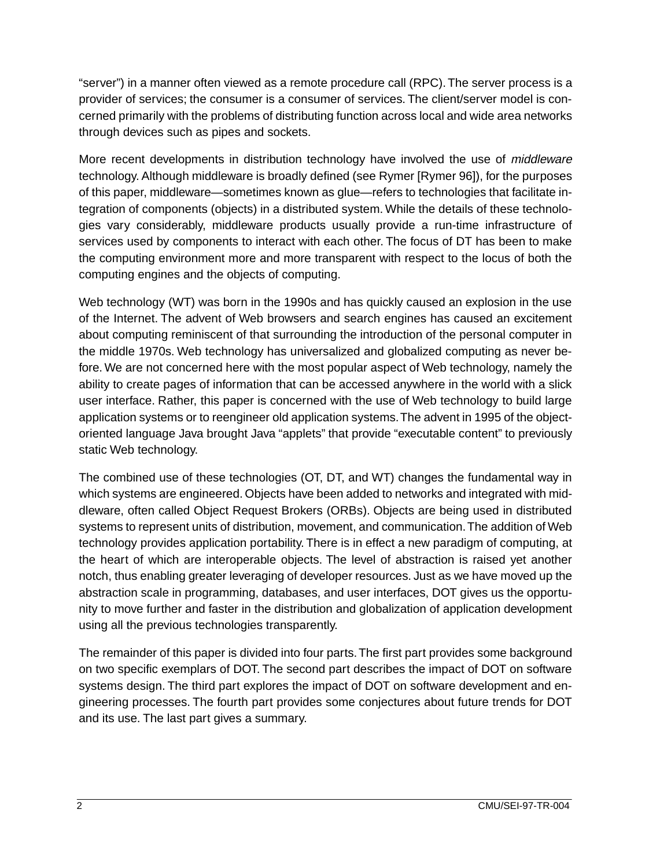"server") in a manner often viewed as a remote procedure call (RPC). The server process is a provider of services; the consumer is a consumer of services. The client/server model is concerned primarily with the problems of distributing function across local and wide area networks through devices such as pipes and sockets.

More recent developments in distribution technology have involved the use of *middleware* technology. Although middleware is broadly defined (see Rymer [Rymer 96]), for the purposes of this paper, middleware—sometimes known as glue—refers to technologies that facilitate integration of components (objects) in a distributed system. While the details of these technologies vary considerably, middleware products usually provide a run-time infrastructure of services used by components to interact with each other. The focus of DT has been to make the computing environment more and more transparent with respect to the locus of both the computing engines and the objects of computing.

Web technology (WT) was born in the 1990s and has quickly caused an explosion in the use of the Internet. The advent of Web browsers and search engines has caused an excitement about computing reminiscent of that surrounding the introduction of the personal computer in the middle 1970s. Web technology has universalized and globalized computing as never before. We are not concerned here with the most popular aspect of Web technology, namely the ability to create pages of information that can be accessed anywhere in the world with a slick user interface. Rather, this paper is concerned with the use of Web technology to build large application systems or to reengineer old application systems. The advent in 1995 of the objectoriented language Java brought Java "applets" that provide "executable content" to previously static Web technology.

The combined use of these technologies (OT, DT, and WT) changes the fundamental way in which systems are engineered. Objects have been added to networks and integrated with middleware, often called Object Request Brokers (ORBs). Objects are being used in distributed systems to represent units of distribution, movement, and communication. The addition of Web technology provides application portability. There is in effect a new paradigm of computing, at the heart of which are interoperable objects. The level of abstraction is raised yet another notch, thus enabling greater leveraging of developer resources. Just as we have moved up the abstraction scale in programming, databases, and user interfaces, DOT gives us the opportunity to move further and faster in the distribution and globalization of application development using all the previous technologies transparently.

The remainder of this paper is divided into four parts. The first part provides some background on two specific exemplars of DOT. The second part describes the impact of DOT on software systems design. The third part explores the impact of DOT on software development and engineering processes. The fourth part provides some conjectures about future trends for DOT and its use. The last part gives a summary.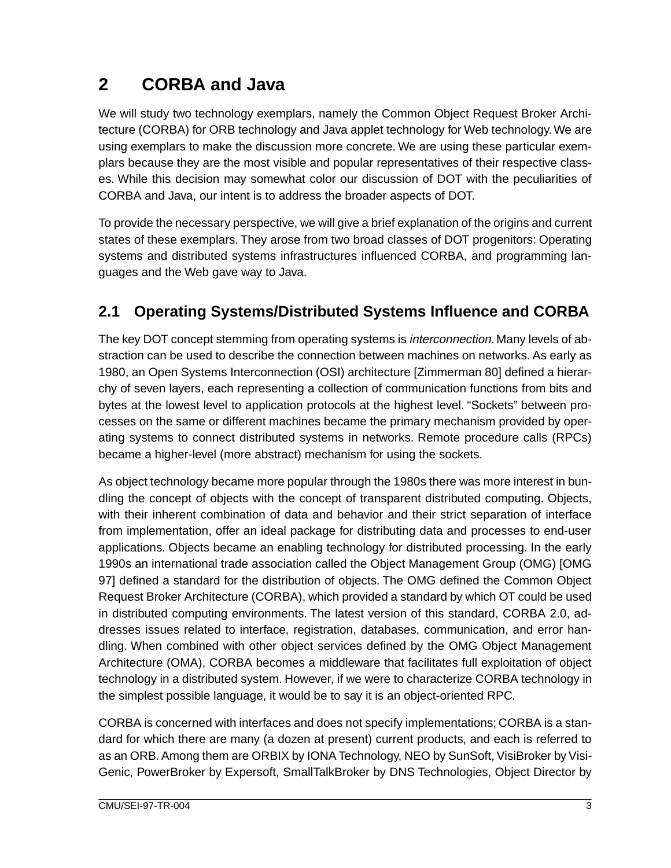## <span id="page-9-0"></span>**2 CORBA and Java**

We will study two technology exemplars, namely the Common Object Request Broker Architecture (CORBA) for ORB technology and Java applet technology for Web technology. We are using exemplars to make the discussion more concrete. We are using these particular exemplars because they are the most visible and popular representatives of their respective classes. While this decision may somewhat color our discussion of DOT with the peculiarities of CORBA and Java, our intent is to address the broader aspects of DOT.

To provide the necessary perspective, we will give a brief explanation of the origins and current states of these exemplars. They arose from two broad classes of DOT progenitors: Operating systems and distributed systems infrastructures influenced CORBA, and programming languages and the Web gave way to Java.

## **2.1 Operating Systems/Distributed Systems Influence and CORBA**

The key DOT concept stemming from operating systems is *interconnection*. Many levels of abstraction can be used to describe the connection between machines on networks. As early as 1980, an Open Systems Interconnection (OSI) architecture [Zimmerman 80] defined a hierarchy of seven layers, each representing a collection of communication functions from bits and bytes at the lowest level to application protocols at the highest level. "Sockets" between processes on the same or different machines became the primary mechanism provided by operating systems to connect distributed systems in networks. Remote procedure calls (RPCs) became a higher-level (more abstract) mechanism for using the sockets.

As object technology became more popular through the 1980s there was more interest in bundling the concept of objects with the concept of transparent distributed computing. Objects, with their inherent combination of data and behavior and their strict separation of interface from implementation, offer an ideal package for distributing data and processes to end-user applications. Objects became an enabling technology for distributed processing. In the early 1990s an international trade association called the Object Management Group (OMG) [OMG 97] defined a standard for the distribution of objects. The OMG defined the Common Object Request Broker Architecture (CORBA), which provided a standard by which OT could be used in distributed computing environments. The latest version of this standard, CORBA 2.0, addresses issues related to interface, registration, databases, communication, and error handling. When combined with other object services defined by the OMG Object Management Architecture (OMA), CORBA becomes a middleware that facilitates full exploitation of object technology in a distributed system. However, if we were to characterize CORBA technology in the simplest possible language, it would be to say it is an object-oriented RPC.

CORBA is concerned with interfaces and does not specify implementations; CORBA is a standard for which there are many (a dozen at present) current products, and each is referred to as an ORB. Among them are ORBIX by IONA Technology, NEO by SunSoft, VisiBroker by Visi-Genic, PowerBroker by Expersoft, SmallTalkBroker by DNS Technologies, Object Director by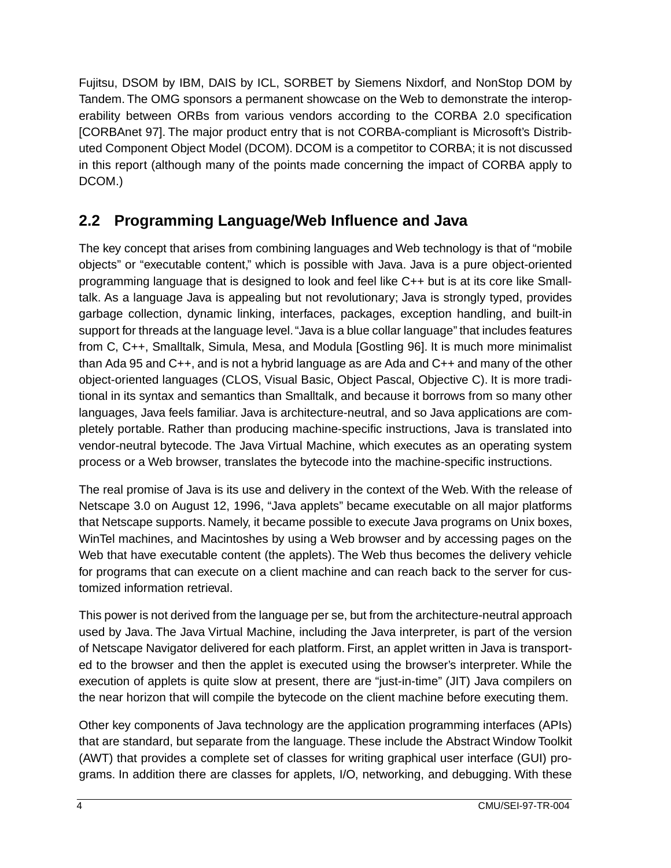<span id="page-10-0"></span>Fujitsu, DSOM by IBM, DAIS by ICL, SORBET by Siemens Nixdorf, and NonStop DOM by Tandem. The OMG sponsors a permanent showcase on the Web to demonstrate the interoperability between ORBs from various vendors according to the CORBA 2.0 specification [CORBAnet 97]. The major product entry that is not CORBA-compliant is Microsoft's Distributed Component Object Model (DCOM). DCOM is a competitor to CORBA; it is not discussed in this report (although many of the points made concerning the impact of CORBA apply to DCOM.)

### **2.2 Programming Language/Web Influence and Java**

The key concept that arises from combining languages and Web technology is that of "mobile objects" or "executable content," which is possible with Java. Java is a pure object-oriented programming language that is designed to look and feel like C++ but is at its core like Smalltalk. As a language Java is appealing but not revolutionary; Java is strongly typed, provides garbage collection, dynamic linking, interfaces, packages, exception handling, and built-in support for threads at the language level. "Java is a blue collar language" that includes features from C, C++, Smalltalk, Simula, Mesa, and Modula [Gostling 96]. It is much more minimalist than Ada 95 and C++, and is not a hybrid language as are Ada and C++ and many of the other object-oriented languages (CLOS, Visual Basic, Object Pascal, Objective C). It is more traditional in its syntax and semantics than Smalltalk, and because it borrows from so many other languages, Java feels familiar. Java is architecture-neutral, and so Java applications are completely portable. Rather than producing machine-specific instructions, Java is translated into vendor-neutral bytecode. The Java Virtual Machine, which executes as an operating system process or a Web browser, translates the bytecode into the machine-specific instructions.

The real promise of Java is its use and delivery in the context of the Web. With the release of Netscape 3.0 on August 12, 1996, "Java applets" became executable on all major platforms that Netscape supports. Namely, it became possible to execute Java programs on Unix boxes, WinTel machines, and Macintoshes by using a Web browser and by accessing pages on the Web that have executable content (the applets). The Web thus becomes the delivery vehicle for programs that can execute on a client machine and can reach back to the server for customized information retrieval.

This power is not derived from the language per se, but from the architecture-neutral approach used by Java. The Java Virtual Machine, including the Java interpreter, is part of the version of Netscape Navigator delivered for each platform. First, an applet written in Java is transported to the browser and then the applet is executed using the browser's interpreter. While the execution of applets is quite slow at present, there are "just-in-time" (JIT) Java compilers on the near horizon that will compile the bytecode on the client machine before executing them.

Other key components of Java technology are the application programming interfaces (APIs) that are standard, but separate from the language. These include the Abstract Window Toolkit (AWT) that provides a complete set of classes for writing graphical user interface (GUI) programs. In addition there are classes for applets, I/O, networking, and debugging. With these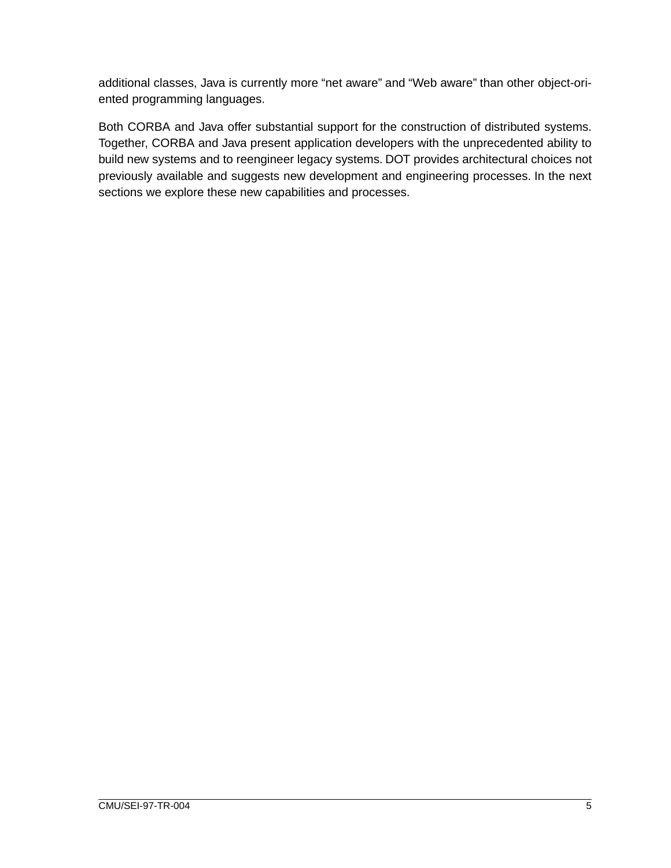additional classes, Java is currently more "net aware" and "Web aware" than other object-oriented programming languages.

Both CORBA and Java offer substantial support for the construction of distributed systems. Together, CORBA and Java present application developers with the unprecedented ability to build new systems and to reengineer legacy systems. DOT provides architectural choices not previously available and suggests new development and engineering processes. In the next sections we explore these new capabilities and processes.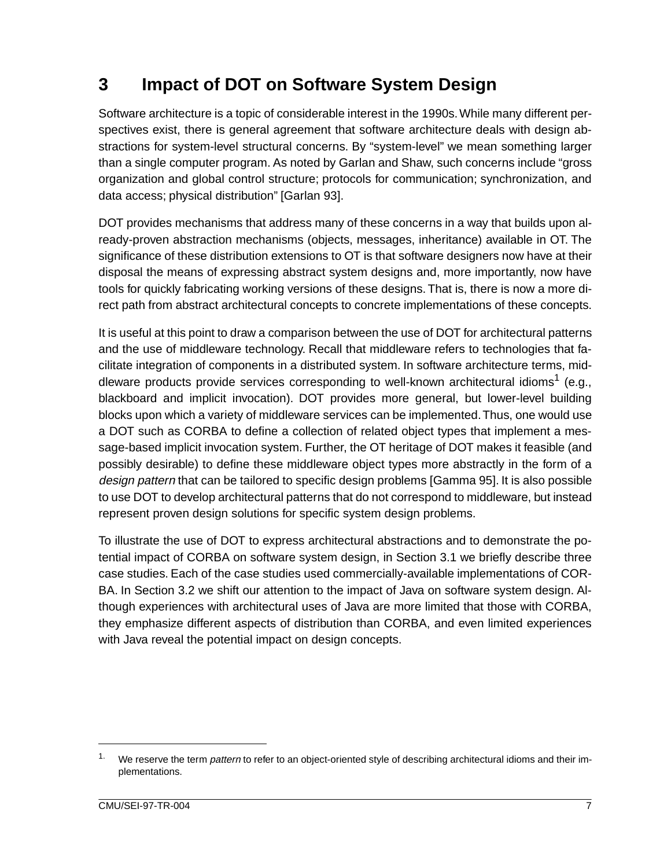## <span id="page-13-0"></span>**3 Impact of DOT on Software System Design**

Software architecture is a topic of considerable interest in the 1990s. While many different perspectives exist, there is general agreement that software architecture deals with design abstractions for system-level structural concerns. By "system-level" we mean something larger than a single computer program. As noted by Garlan and Shaw, such concerns include "gross organization and global control structure; protocols for communication; synchronization, and data access; physical distribution" [Garlan 93].

DOT provides mechanisms that address many of these concerns in a way that builds upon already-proven abstraction mechanisms (objects, messages, inheritance) available in OT. The significance of these distribution extensions to OT is that software designers now have at their disposal the means of expressing abstract system designs and, more importantly, now have tools for quickly fabricating working versions of these designs. That is, there is now a more direct path from abstract architectural concepts to concrete implementations of these concepts.

It is useful at this point to draw a comparison between the use of DOT for architectural patterns and the use of middleware technology. Recall that middleware refers to technologies that facilitate integration of components in a distributed system. In software architecture terms, middleware products provide services corresponding to well-known architectural idioms<sup>1</sup> (e.g., blackboard and implicit invocation). DOT provides more general, but lower-level building blocks upon which a variety of middleware services can be implemented. Thus, one would use a DOT such as CORBA to define a collection of related object types that implement a message-based implicit invocation system. Further, the OT heritage of DOT makes it feasible (and possibly desirable) to define these middleware object types more abstractly in the form of a design pattern that can be tailored to specific design problems [Gamma 95]. It is also possible to use DOT to develop architectural patterns that do not correspond to middleware, but instead represent proven design solutions for specific system design problems.

To illustrate the use of DOT to express architectural abstractions and to demonstrate the potential impact of CORBA on software system design, in Section 3.1 we briefly describe three case studies. Each of the case studies used commercially-available implementations of COR-BA. In Section 3.2 we shift our attention to the impact of Java on software system design. Although experiences with architectural uses of Java are more limited that those with CORBA, they emphasize different aspects of distribution than CORBA, and even limited experiences with Java reveal the potential impact on design concepts.

<sup>&</sup>lt;sup>1.</sup> We reserve the term *pattern* to refer to an object-oriented style of describing architectural idioms and their implementations.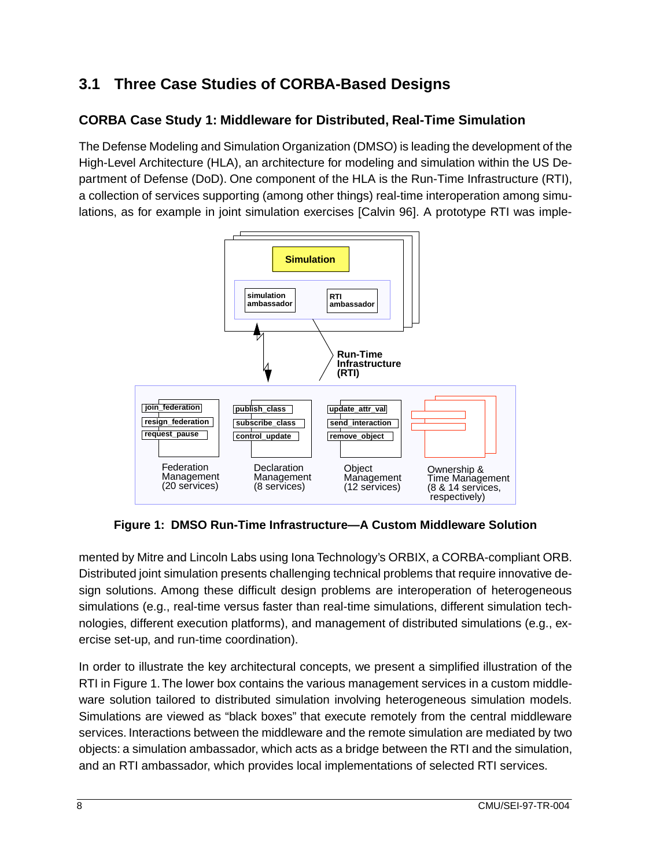## <span id="page-14-0"></span>**3.1 Three Case Studies of CORBA-Based Designs**

### **CORBA Case Study 1: Middleware for Distributed, Real-Time Simulation**

The Defense Modeling and Simulation Organization (DMSO) is leading the development of the High-Level Architecture (HLA), an architecture for modeling and simulation within the US Department of Defense (DoD). One component of the HLA is the Run-Time Infrastructure (RTI), a collection of services supporting (among other things) real-time interoperation among simulations, as for example in joint simulation exercises [Calvin 96]. A prototype RTI was imple-



**Figure 1: DMSO Run-Time Infrastructure—A Custom Middleware Solution**

mented by Mitre and Lincoln Labs using Iona Technology's ORBIX, a CORBA-compliant ORB. Distributed joint simulation presents challenging technical problems that require innovative design solutions. Among these difficult design problems are interoperation of heterogeneous simulations (e.g., real-time versus faster than real-time simulations, different simulation technologies, different execution platforms), and management of distributed simulations (e.g., exercise set-up, and run-time coordination).

In order to illustrate the key architectural concepts, we present a simplified illustration of the RTI in Figure 1. The lower box contains the various management services in a custom middleware solution tailored to distributed simulation involving heterogeneous simulation models. Simulations are viewed as "black boxes" that execute remotely from the central middleware services. Interactions between the middleware and the remote simulation are mediated by two objects: a simulation ambassador, which acts as a bridge between the RTI and the simulation, and an RTI ambassador, which provides local implementations of selected RTI services.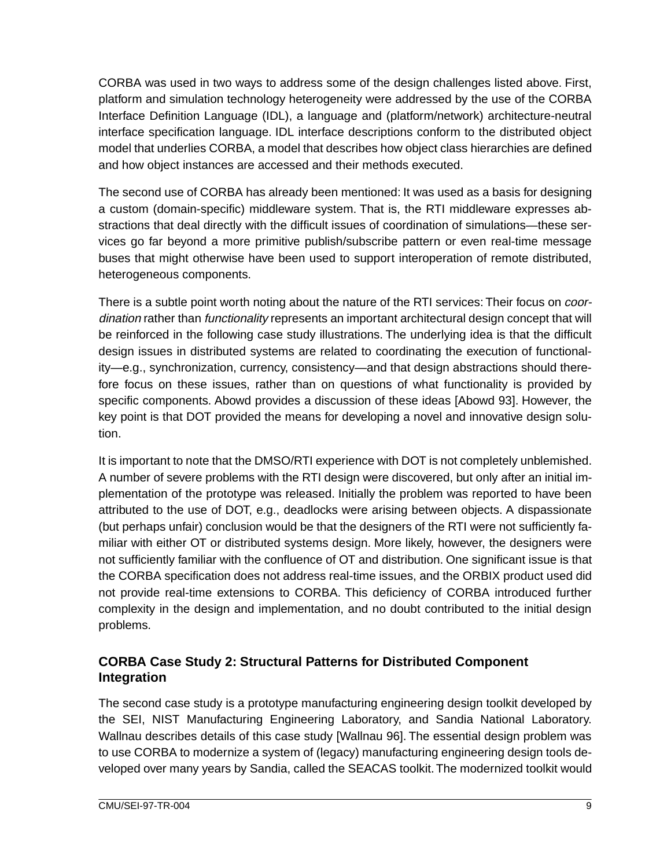CORBA was used in two ways to address some of the design challenges listed above. First, platform and simulation technology heterogeneity were addressed by the use of the CORBA Interface Definition Language (IDL), a language and (platform/network) architecture-neutral interface specification language. IDL interface descriptions conform to the distributed object model that underlies CORBA, a model that describes how object class hierarchies are defined and how object instances are accessed and their methods executed.

The second use of CORBA has already been mentioned: It was used as a basis for designing a custom (domain-specific) middleware system. That is, the RTI middleware expresses abstractions that deal directly with the difficult issues of coordination of simulations—these services go far beyond a more primitive publish/subscribe pattern or even real-time message buses that might otherwise have been used to support interoperation of remote distributed, heterogeneous components.

There is a subtle point worth noting about the nature of the RTI services: Their focus on *coor*dination rather than *functionality* represents an important architectural design concept that will be reinforced in the following case study illustrations. The underlying idea is that the difficult design issues in distributed systems are related to coordinating the execution of functionality—e.g., synchronization, currency, consistency—and that design abstractions should therefore focus on these issues, rather than on questions of what functionality is provided by specific components. Abowd provides a discussion of these ideas [Abowd 93]. However, the key point is that DOT provided the means for developing a novel and innovative design solution.

It is important to note that the DMSO/RTI experience with DOT is not completely unblemished. A number of severe problems with the RTI design were discovered, but only after an initial implementation of the prototype was released. Initially the problem was reported to have been attributed to the use of DOT, e.g., deadlocks were arising between objects. A dispassionate (but perhaps unfair) conclusion would be that the designers of the RTI were not sufficiently familiar with either OT or distributed systems design. More likely, however, the designers were not sufficiently familiar with the confluence of OT and distribution. One significant issue is that the CORBA specification does not address real-time issues, and the ORBIX product used did not provide real-time extensions to CORBA. This deficiency of CORBA introduced further complexity in the design and implementation, and no doubt contributed to the initial design problems.

#### **CORBA Case Study 2: Structural Patterns for Distributed Component Integration**

The second case study is a prototype manufacturing engineering design toolkit developed by the SEI, NIST Manufacturing Engineering Laboratory, and Sandia National Laboratory. Wallnau describes details of this case study [Wallnau 96]. The essential design problem was to use CORBA to modernize a system of (legacy) manufacturing engineering design tools developed over many years by Sandia, called the SEACAS toolkit. The modernized toolkit would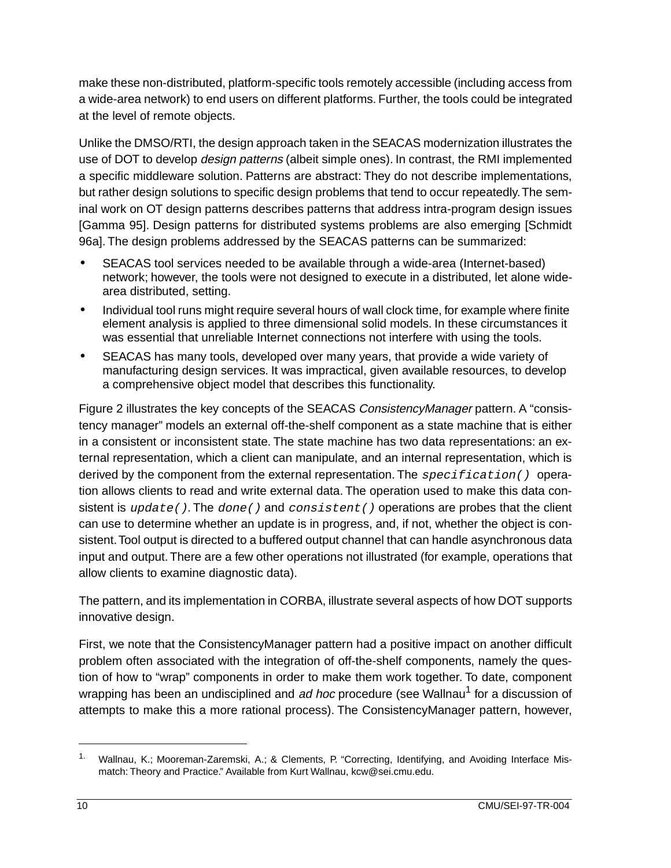make these non-distributed, platform-specific tools remotely accessible (including access from a wide-area network) to end users on different platforms. Further, the tools could be integrated at the level of remote objects.

Unlike the DMSO/RTI, the design approach taken in the SEACAS modernization illustrates the use of DOT to develop *design patterns* (albeit simple ones). In contrast, the RMI implemented a specific middleware solution. Patterns are abstract: They do not describe implementations, but rather design solutions to specific design problems that tend to occur repeatedly. The seminal work on OT design patterns describes patterns that address intra-program design issues [Gamma 95]. Design patterns for distributed systems problems are also emerging [Schmidt 96a]. The design problems addressed by the SEACAS patterns can be summarized:

- SEACAS tool services needed to be available through a wide-area (Internet-based) network; however, the tools were not designed to execute in a distributed, let alone widearea distributed, setting.
- Individual tool runs might require several hours of wall clock time, for example where finite element analysis is applied to three dimensional solid models. In these circumstances it was essential that unreliable Internet connections not interfere with using the tools.
- SEACAS has many tools, developed over many years, that provide a wide variety of manufacturing design services. It was impractical, given available resources, to develop a comprehensive object model that describes this functionality.

[Figure 2](#page-17-0) illustrates the key concepts of the SEACAS ConsistencyManager pattern. A "consistency manager" models an external off-the-shelf component as a state machine that is either in a consistent or inconsistent state. The state machine has two data representations: an external representation, which a client can manipulate, and an internal representation, which is derived by the component from the external representation. The  $specification()$  operation allows clients to read and write external data. The operation used to make this data consistent is  $update()$ . The  $done()$  and  $consistent()$  operations are probes that the client can use to determine whether an update is in progress, and, if not, whether the object is consistent. Tool output is directed to a buffered output channel that can handle asynchronous data input and output. There are a few other operations not illustrated (for example, operations that allow clients to examine diagnostic data).

The pattern, and its implementation in CORBA, illustrate several aspects of how DOT supports innovative design.

First, we note that the ConsistencyManager pattern had a positive impact on another difficult problem often associated with the integration of off-the-shelf components, namely the question of how to "wrap" components in order to make them work together. To date, component wrapping has been an undisciplined and ad hoc procedure (see Wallnau<sup>1</sup> for a discussion of attempts to make this a more rational process). The ConsistencyManager pattern, however,

<sup>&</sup>lt;sup>1.</sup> Wallnau, K.; Mooreman-Zaremski, A.; & Clements, P. "Correcting, Identifying, and Avoiding Interface Mismatch: Theory and Practice." Available from Kurt Wallnau, kcw@sei.cmu.edu.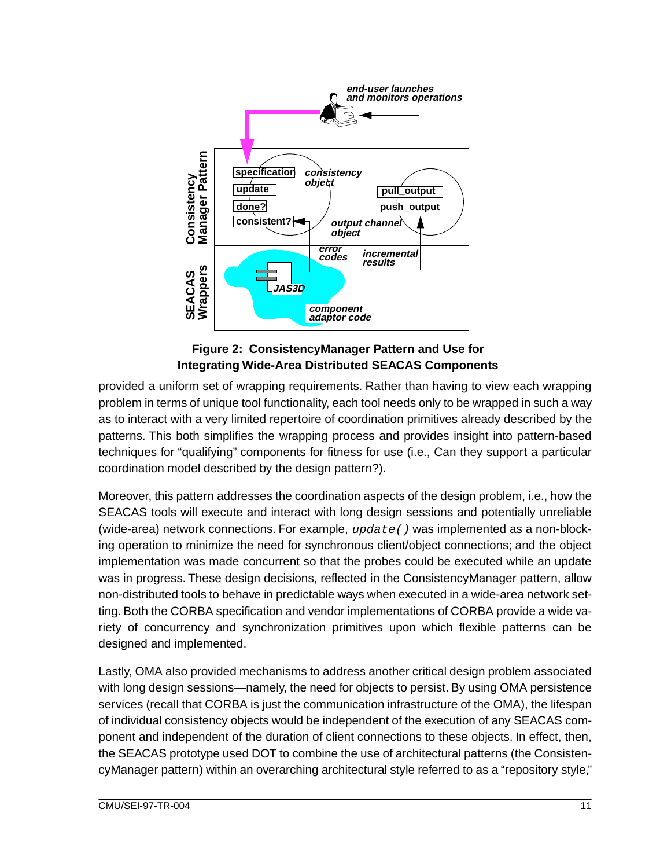<span id="page-17-0"></span>

**Figure 2: ConsistencyManager Pattern and Use for Integrating Wide-Area Distributed SEACAS Components**

provided a uniform set of wrapping requirements. Rather than having to view each wrapping problem in terms of unique tool functionality, each tool needs only to be wrapped in such a way as to interact with a very limited repertoire of coordination primitives already described by the patterns. This both simplifies the wrapping process and provides insight into pattern-based techniques for "qualifying" components for fitness for use (i.e., Can they support a particular coordination model described by the design pattern?).

Moreover, this pattern addresses the coordination aspects of the design problem, i.e., how the SEACAS tools will execute and interact with long design sessions and potentially unreliable (wide-area) network connections. For example,  $update()$  was implemented as a non-blocking operation to minimize the need for synchronous client/object connections; and the object implementation was made concurrent so that the probes could be executed while an update was in progress. These design decisions, reflected in the ConsistencyManager pattern, allow non-distributed tools to behave in predictable ways when executed in a wide-area network setting. Both the CORBA specification and vendor implementations of CORBA provide a wide variety of concurrency and synchronization primitives upon which flexible patterns can be designed and implemented.

Lastly, OMA also provided mechanisms to address another critical design problem associated with long design sessions—namely, the need for objects to persist. By using OMA persistence services (recall that CORBA is just the communication infrastructure of the OMA), the lifespan of individual consistency objects would be independent of the execution of any SEACAS component and independent of the duration of client connections to these objects. In effect, then, the SEACAS prototype used DOT to combine the use of architectural patterns (the ConsistencyManager pattern) within an overarching architectural style referred to as a "repository style,"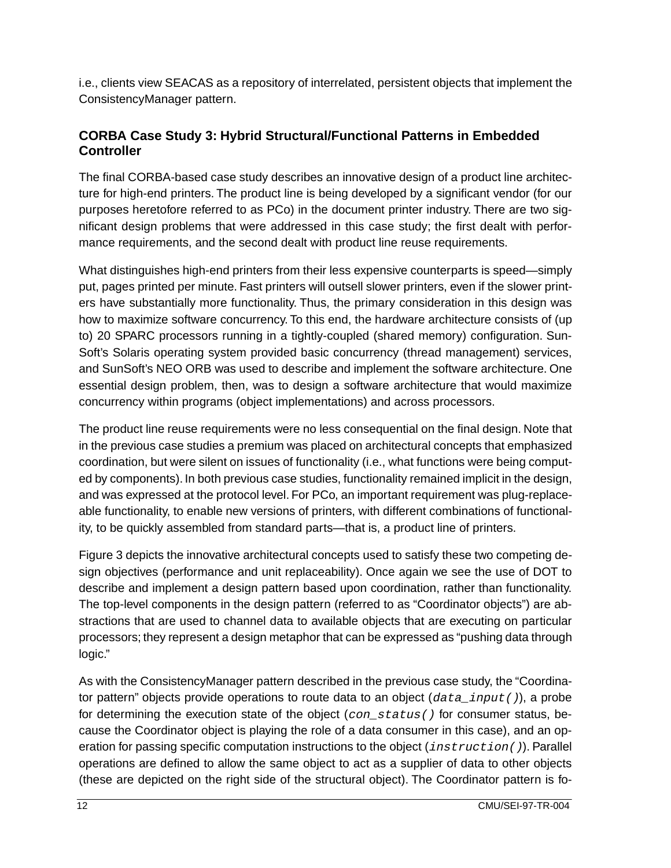i.e., clients view SEACAS as a repository of interrelated, persistent objects that implement the ConsistencyManager pattern.

#### **CORBA Case Study 3: Hybrid Structural/Functional Patterns in Embedded Controller**

The final CORBA-based case study describes an innovative design of a product line architecture for high-end printers. The product line is being developed by a significant vendor (for our purposes heretofore referred to as PCo) in the document printer industry. There are two significant design problems that were addressed in this case study; the first dealt with performance requirements, and the second dealt with product line reuse requirements.

What distinguishes high-end printers from their less expensive counterparts is speed—simply put, pages printed per minute. Fast printers will outsell slower printers, even if the slower printers have substantially more functionality. Thus, the primary consideration in this design was how to maximize software concurrency. To this end, the hardware architecture consists of (up to) 20 SPARC processors running in a tightly-coupled (shared memory) configuration. Sun-Soft's Solaris operating system provided basic concurrency (thread management) services, and SunSoft's NEO ORB was used to describe and implement the software architecture. One essential design problem, then, was to design a software architecture that would maximize concurrency within programs (object implementations) and across processors.

The product line reuse requirements were no less consequential on the final design. Note that in the previous case studies a premium was placed on architectural concepts that emphasized coordination, but were silent on issues of functionality (i.e., what functions were being computed by components). In both previous case studies, functionality remained implicit in the design, and was expressed at the protocol level. For PCo, an important requirement was plug-replaceable functionality, to enable new versions of printers, with different combinations of functionality, to be quickly assembled from standard parts—that is, a product line of printers.

[Figure 3](#page-19-0) depicts the innovative architectural concepts used to satisfy these two competing design objectives (performance and unit replaceability). Once again we see the use of DOT to describe and implement a design pattern based upon coordination, rather than functionality. The top-level components in the design pattern (referred to as "Coordinator objects") are abstractions that are used to channel data to available objects that are executing on particular processors; they represent a design metaphor that can be expressed as "pushing data through logic."

As with the ConsistencyManager pattern described in the previous case study, the "Coordinator pattern" objects provide operations to route data to an object  $(data\_input)$ , a probe for determining the execution state of the object (con  $status()$  for consumer status, because the Coordinator object is playing the role of a data consumer in this case), and an operation for passing specific computation instructions to the object (*instruction()*). Parallel operations are defined to allow the same object to act as a supplier of data to other objects (these are depicted on the right side of the structural object). The Coordinator pattern is fo-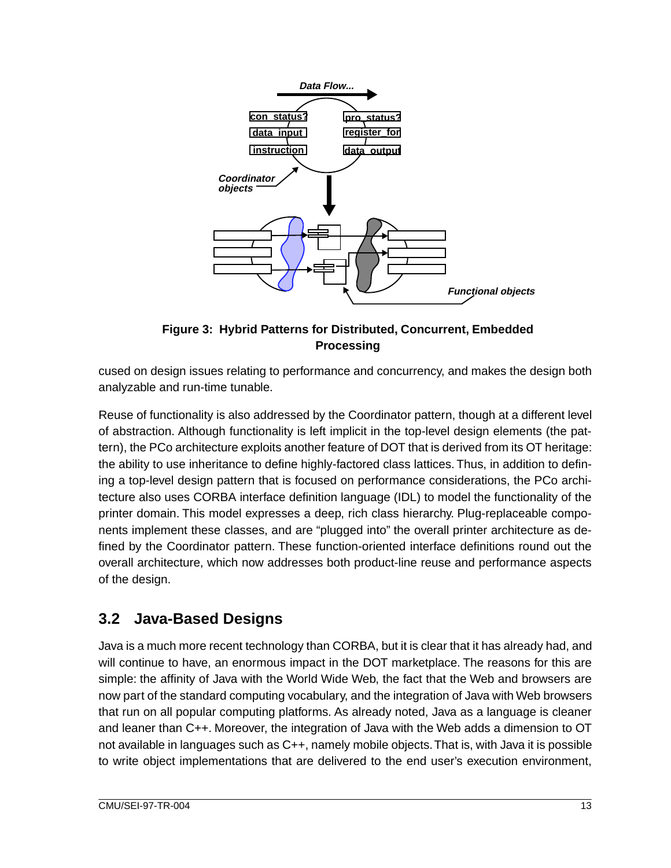<span id="page-19-0"></span>

**Figure 3: Hybrid Patterns for Distributed, Concurrent, Embedded Processing**

cused on design issues relating to performance and concurrency, and makes the design both analyzable and run-time tunable.

Reuse of functionality is also addressed by the Coordinator pattern, though at a different level of abstraction. Although functionality is left implicit in the top-level design elements (the pattern), the PCo architecture exploits another feature of DOT that is derived from its OT heritage: the ability to use inheritance to define highly-factored class lattices. Thus, in addition to defining a top-level design pattern that is focused on performance considerations, the PCo architecture also uses CORBA interface definition language (IDL) to model the functionality of the printer domain. This model expresses a deep, rich class hierarchy. Plug-replaceable components implement these classes, and are "plugged into" the overall printer architecture as defined by the Coordinator pattern. These function-oriented interface definitions round out the overall architecture, which now addresses both product-line reuse and performance aspects of the design.

### **3.2 Java-Based Designs**

Java is a much more recent technology than CORBA, but it is clear that it has already had, and will continue to have, an enormous impact in the DOT marketplace. The reasons for this are simple: the affinity of Java with the World Wide Web, the fact that the Web and browsers are now part of the standard computing vocabulary, and the integration of Java with Web browsers that run on all popular computing platforms. As already noted, Java as a language is cleaner and leaner than C++. Moreover, the integration of Java with the Web adds a dimension to OT not available in languages such as C++, namely mobile objects. That is, with Java it is possible to write object implementations that are delivered to the end user's execution environment,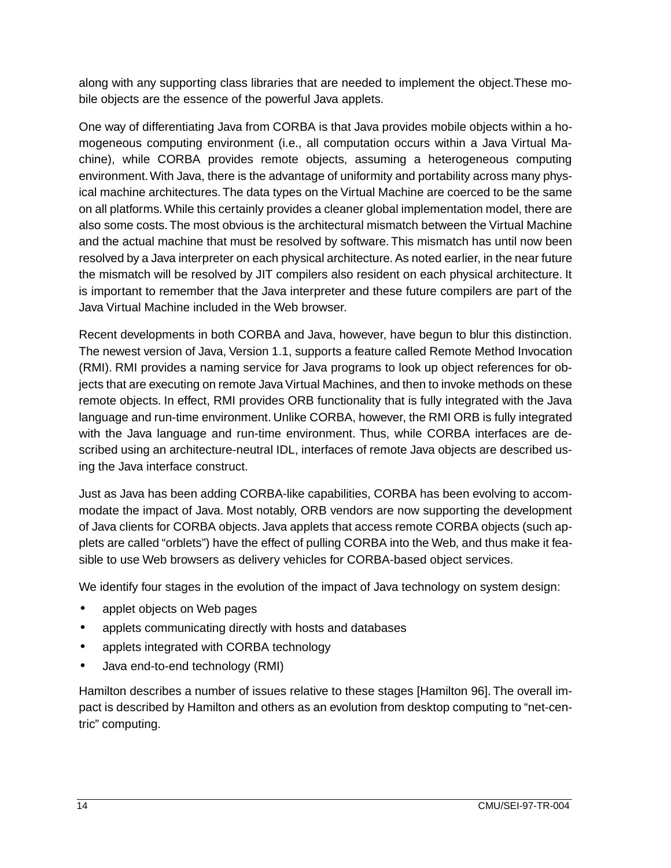along with any supporting class libraries that are needed to implement the object.These mobile objects are the essence of the powerful Java applets.

One way of differentiating Java from CORBA is that Java provides mobile objects within a homogeneous computing environment (i.e., all computation occurs within a Java Virtual Machine), while CORBA provides remote objects, assuming a heterogeneous computing environment. With Java, there is the advantage of uniformity and portability across many physical machine architectures. The data types on the Virtual Machine are coerced to be the same on all platforms. While this certainly provides a cleaner global implementation model, there are also some costs. The most obvious is the architectural mismatch between the Virtual Machine and the actual machine that must be resolved by software. This mismatch has until now been resolved by a Java interpreter on each physical architecture. As noted earlier, in the near future the mismatch will be resolved by JIT compilers also resident on each physical architecture. It is important to remember that the Java interpreter and these future compilers are part of the Java Virtual Machine included in the Web browser.

Recent developments in both CORBA and Java, however, have begun to blur this distinction. The newest version of Java, Version 1.1, supports a feature called Remote Method Invocation (RMI). RMI provides a naming service for Java programs to look up object references for objects that are executing on remote Java Virtual Machines, and then to invoke methods on these remote objects. In effect, RMI provides ORB functionality that is fully integrated with the Java language and run-time environment. Unlike CORBA, however, the RMI ORB is fully integrated with the Java language and run-time environment. Thus, while CORBA interfaces are described using an architecture-neutral IDL, interfaces of remote Java objects are described using the Java interface construct.

Just as Java has been adding CORBA-like capabilities, CORBA has been evolving to accommodate the impact of Java. Most notably, ORB vendors are now supporting the development of Java clients for CORBA objects. Java applets that access remote CORBA objects (such applets are called "orblets") have the effect of pulling CORBA into the Web, and thus make it feasible to use Web browsers as delivery vehicles for CORBA-based object services.

We identify four stages in the evolution of the impact of Java technology on system design:

- applet objects on Web pages
- applets communicating directly with hosts and databases
- applets integrated with CORBA technology
- Java end-to-end technology (RMI)

Hamilton describes a number of issues relative to these stages [Hamilton 96]. The overall impact is described by Hamilton and others as an evolution from desktop computing to "net-centric" computing.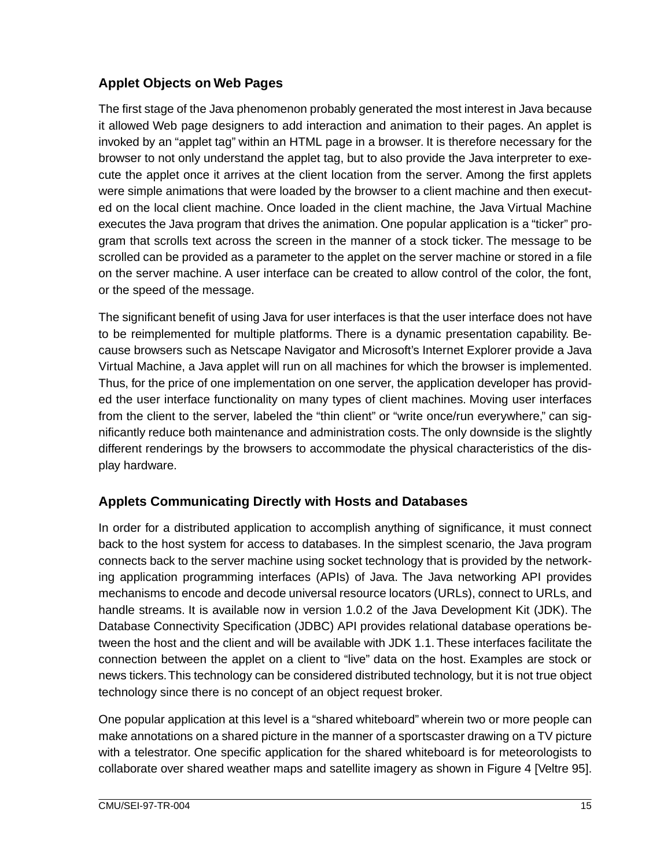### **Applet Objects on Web Pages**

The first stage of the Java phenomenon probably generated the most interest in Java because it allowed Web page designers to add interaction and animation to their pages. An applet is invoked by an "applet tag" within an HTML page in a browser. It is therefore necessary for the browser to not only understand the applet tag, but to also provide the Java interpreter to execute the applet once it arrives at the client location from the server. Among the first applets were simple animations that were loaded by the browser to a client machine and then executed on the local client machine. Once loaded in the client machine, the Java Virtual Machine executes the Java program that drives the animation. One popular application is a "ticker" program that scrolls text across the screen in the manner of a stock ticker. The message to be scrolled can be provided as a parameter to the applet on the server machine or stored in a file on the server machine. A user interface can be created to allow control of the color, the font, or the speed of the message.

The significant benefit of using Java for user interfaces is that the user interface does not have to be reimplemented for multiple platforms. There is a dynamic presentation capability. Because browsers such as Netscape Navigator and Microsoft's Internet Explorer provide a Java Virtual Machine, a Java applet will run on all machines for which the browser is implemented. Thus, for the price of one implementation on one server, the application developer has provided the user interface functionality on many types of client machines. Moving user interfaces from the client to the server, labeled the "thin client" or "write once/run everywhere," can significantly reduce both maintenance and administration costs. The only downside is the slightly different renderings by the browsers to accommodate the physical characteristics of the display hardware.

### **Applets Communicating Directly with Hosts and Databases**

In order for a distributed application to accomplish anything of significance, it must connect back to the host system for access to databases. In the simplest scenario, the Java program connects back to the server machine using socket technology that is provided by the networking application programming interfaces (APIs) of Java. The Java networking API provides mechanisms to encode and decode universal resource locators (URLs), connect to URLs, and handle streams. It is available now in version 1.0.2 of the Java Development Kit (JDK). The Database Connectivity Specification (JDBC) API provides relational database operations between the host and the client and will be available with JDK 1.1. These interfaces facilitate the connection between the applet on a client to "live" data on the host. Examples are stock or news tickers. This technology can be considered distributed technology, but it is not true object technology since there is no concept of an object request broker.

One popular application at this level is a "shared whiteboard" wherein two or more people can make annotations on a shared picture in the manner of a sportscaster drawing on a TV picture with a telestrator. One specific application for the shared whiteboard is for meteorologists to collaborate over shared weather maps and satellite imagery as shown in [Figure 4](#page-22-0) [Veltre 95].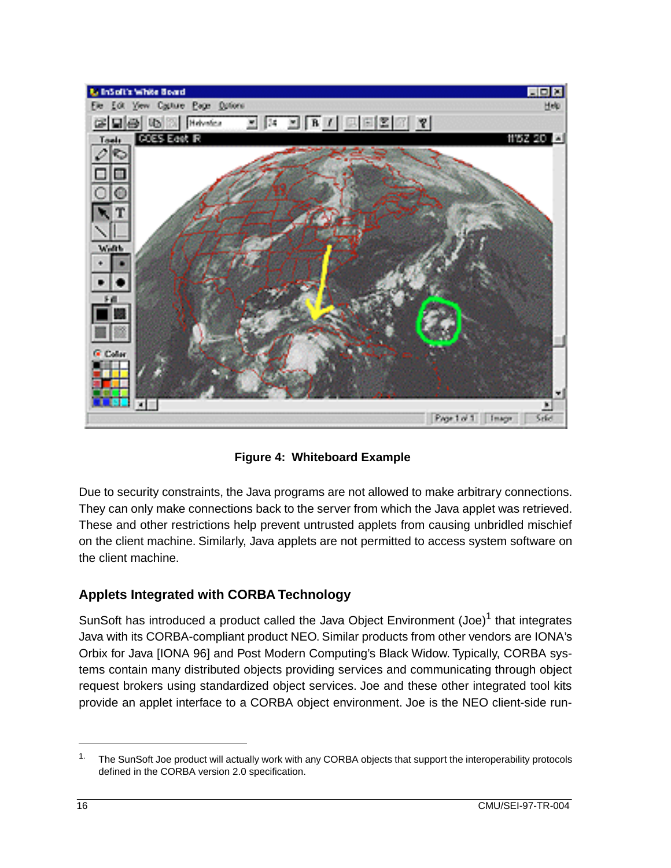<span id="page-22-0"></span>

**Figure 4: Whiteboard Example**

Due to security constraints, the Java programs are not allowed to make arbitrary connections. They can only make connections back to the server from which the Java applet was retrieved. These and other restrictions help prevent untrusted applets from causing unbridled mischief on the client machine. Similarly, Java applets are not permitted to access system software on the client machine.

### **Applets Integrated with CORBA Technology**

SunSoft has introduced a product called the Java Object Environment  $(Joe)<sup>1</sup>$  that integrates Java with its CORBA-compliant product NEO. Similar products from other vendors are IONA's Orbix for Java [IONA 96] and Post Modern Computing's Black Widow. Typically, CORBA systems contain many distributed objects providing services and communicating through object request brokers using standardized object services. Joe and these other integrated tool kits provide an applet interface to a CORBA object environment. Joe is the NEO client-side run-

<sup>&</sup>lt;sup>1.</sup> The SunSoft Joe product will actually work with any CORBA objects that support the interoperability protocols defined in the CORBA version 2.0 specification.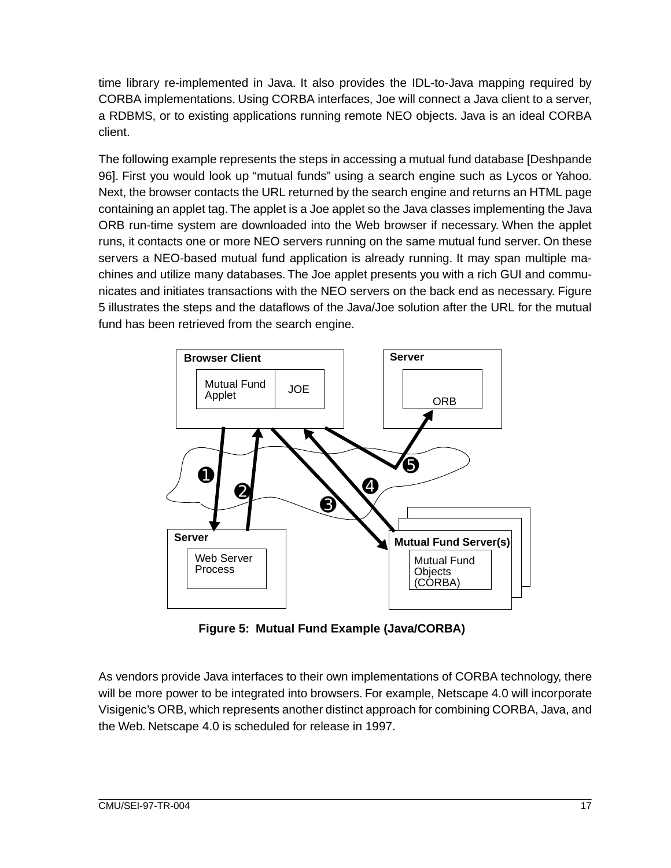<span id="page-23-0"></span>time library re-implemented in Java. It also provides the IDL-to-Java mapping required by CORBA implementations. Using CORBA interfaces, Joe will connect a Java client to a server, a RDBMS, or to existing applications running remote NEO objects. Java is an ideal CORBA client.

The following example represents the steps in accessing a mutual fund database [Deshpande 96]. First you would look up "mutual funds" using a search engine such as Lycos or Yahoo. Next, the browser contacts the URL returned by the search engine and returns an HTML page containing an applet tag. The applet is a Joe applet so the Java classes implementing the Java ORB run-time system are downloaded into the Web browser if necessary. When the applet runs, it contacts one or more NEO servers running on the same mutual fund server. On these servers a NEO-based mutual fund application is already running. It may span multiple machines and utilize many databases. The Joe applet presents you with a rich GUI and communicates and initiates transactions with the NEO servers on the back end as necessary. Figure 5 illustrates the steps and the dataflows of the Java/Joe solution after the URL for the mutual fund has been retrieved from the search engine.



**Figure 5: Mutual Fund Example (Java/CORBA)**

As vendors provide Java interfaces to their own implementations of CORBA technology, there will be more power to be integrated into browsers. For example, Netscape 4.0 will incorporate Visigenic's ORB, which represents another distinct approach for combining CORBA, Java, and the Web. Netscape 4.0 is scheduled for release in 1997.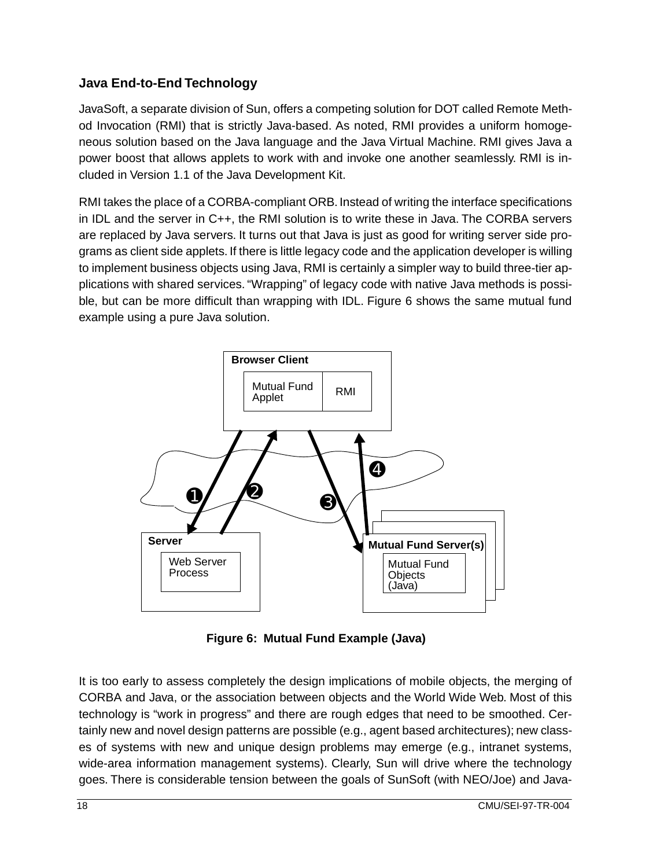#### <span id="page-24-0"></span>**Java End-to-End Technology**

JavaSoft, a separate division of Sun, offers a competing solution for DOT called Remote Method Invocation (RMI) that is strictly Java-based. As noted, RMI provides a uniform homogeneous solution based on the Java language and the Java Virtual Machine. RMI gives Java a power boost that allows applets to work with and invoke one another seamlessly. RMI is included in Version 1.1 of the Java Development Kit.

RMI takes the place of a CORBA-compliant ORB. Instead of writing the interface specifications in IDL and the server in C++, the RMI solution is to write these in Java. The CORBA servers are replaced by Java servers. It turns out that Java is just as good for writing server side programs as client side applets. If there is little legacy code and the application developer is willing to implement business objects using Java, RMI is certainly a simpler way to build three-tier applications with shared services. "Wrapping" of legacy code with native Java methods is possible, but can be more difficult than wrapping with IDL. Figure 6 shows the same mutual fund example using a pure Java solution.



**Figure 6: Mutual Fund Example (Java)**

It is too early to assess completely the design implications of mobile objects, the merging of CORBA and Java, or the association between objects and the World Wide Web. Most of this technology is "work in progress" and there are rough edges that need to be smoothed. Certainly new and novel design patterns are possible (e.g., agent based architectures); new classes of systems with new and unique design problems may emerge (e.g., intranet systems, wide-area information management systems). Clearly, Sun will drive where the technology goes. There is considerable tension between the goals of SunSoft (with NEO/Joe) and Java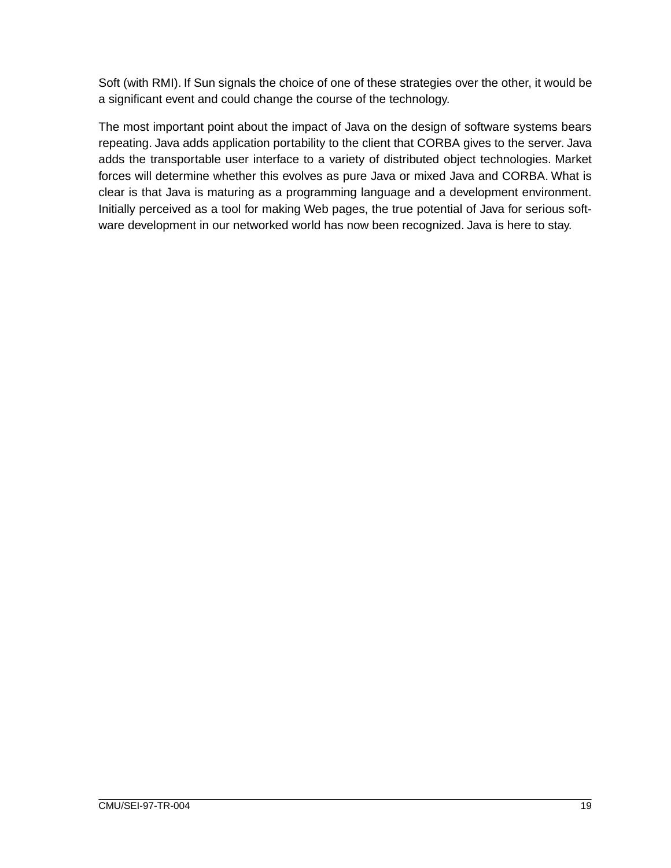Soft (with RMI). If Sun signals the choice of one of these strategies over the other, it would be a significant event and could change the course of the technology.

The most important point about the impact of Java on the design of software systems bears repeating. Java adds application portability to the client that CORBA gives to the server. Java adds the transportable user interface to a variety of distributed object technologies. Market forces will determine whether this evolves as pure Java or mixed Java and CORBA. What is clear is that Java is maturing as a programming language and a development environment. Initially perceived as a tool for making Web pages, the true potential of Java for serious software development in our networked world has now been recognized. Java is here to stay.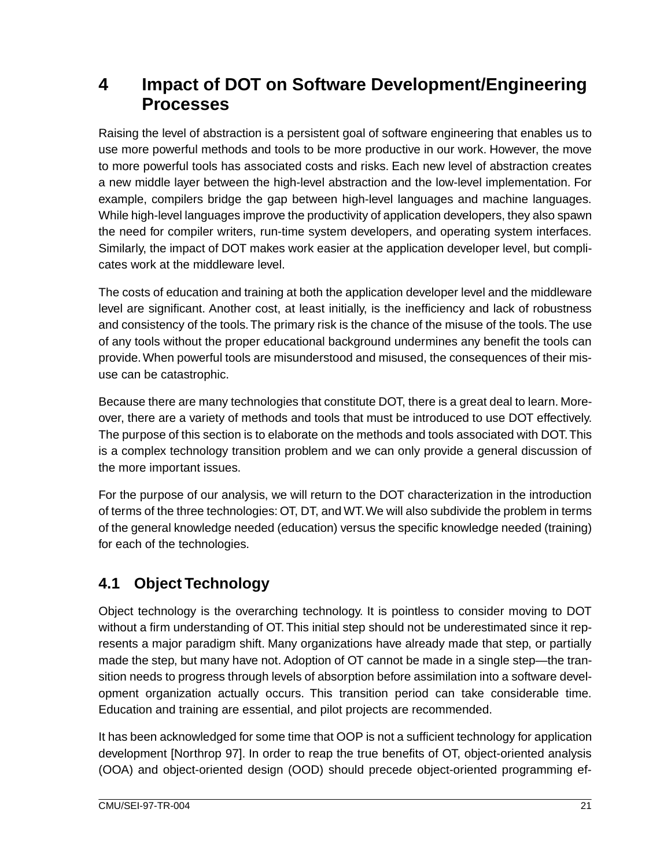## <span id="page-27-0"></span>**4 Impact of DOT on Software Development/Engineering Processes**

Raising the level of abstraction is a persistent goal of software engineering that enables us to use more powerful methods and tools to be more productive in our work. However, the move to more powerful tools has associated costs and risks. Each new level of abstraction creates a new middle layer between the high-level abstraction and the low-level implementation. For example, compilers bridge the gap between high-level languages and machine languages. While high-level languages improve the productivity of application developers, they also spawn the need for compiler writers, run-time system developers, and operating system interfaces. Similarly, the impact of DOT makes work easier at the application developer level, but complicates work at the middleware level.

The costs of education and training at both the application developer level and the middleware level are significant. Another cost, at least initially, is the inefficiency and lack of robustness and consistency of the tools. The primary risk is the chance of the misuse of the tools. The use of any tools without the proper educational background undermines any benefit the tools can provide. When powerful tools are misunderstood and misused, the consequences of their misuse can be catastrophic.

Because there are many technologies that constitute DOT, there is a great deal to learn. Moreover, there are a variety of methods and tools that must be introduced to use DOT effectively. The purpose of this section is to elaborate on the methods and tools associated with DOT. This is a complex technology transition problem and we can only provide a general discussion of the more important issues.

For the purpose of our analysis, we will return to the DOT characterization in the introduction of terms of the three technologies: OT, DT, and WT. We will also subdivide the problem in terms of the general knowledge needed (education) versus the specific knowledge needed (training) for each of the technologies.

## **4.1 Object Technology**

Object technology is the overarching technology. It is pointless to consider moving to DOT without a firm understanding of OT. This initial step should not be underestimated since it represents a major paradigm shift. Many organizations have already made that step, or partially made the step, but many have not. Adoption of OT cannot be made in a single step—the transition needs to progress through levels of absorption before assimilation into a software development organization actually occurs. This transition period can take considerable time. Education and training are essential, and pilot projects are recommended.

It has been acknowledged for some time that OOP is not a sufficient technology for application development [Northrop 97]. In order to reap the true benefits of OT, object-oriented analysis (OOA) and object-oriented design (OOD) should precede object-oriented programming ef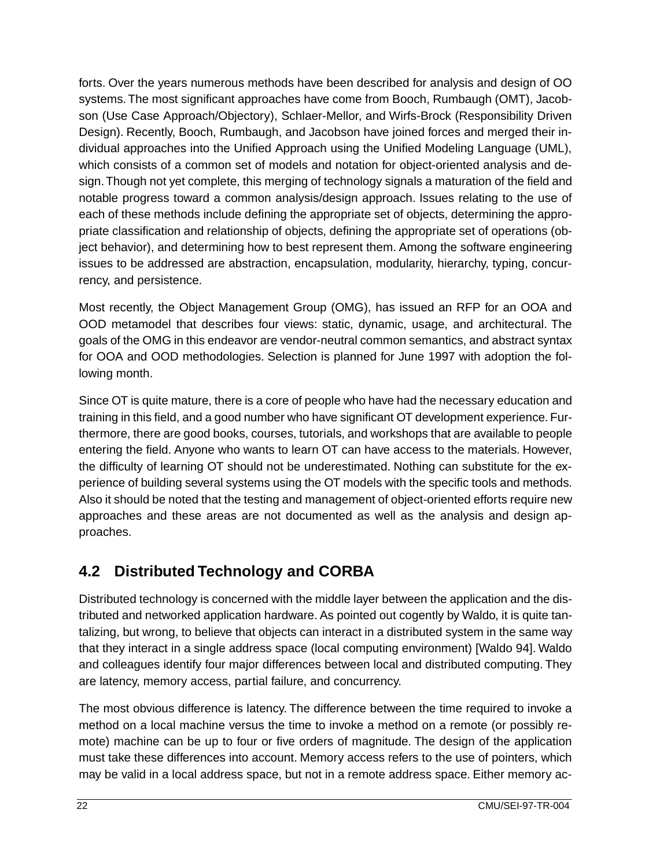<span id="page-28-0"></span>forts. Over the years numerous methods have been described for analysis and design of OO systems. The most significant approaches have come from Booch, Rumbaugh (OMT), Jacobson (Use Case Approach/Objectory), Schlaer-Mellor, and Wirfs-Brock (Responsibility Driven Design). Recently, Booch, Rumbaugh, and Jacobson have joined forces and merged their individual approaches into the Unified Approach using the Unified Modeling Language (UML), which consists of a common set of models and notation for object-oriented analysis and design. Though not yet complete, this merging of technology signals a maturation of the field and notable progress toward a common analysis/design approach. Issues relating to the use of each of these methods include defining the appropriate set of objects, determining the appropriate classification and relationship of objects, defining the appropriate set of operations (object behavior), and determining how to best represent them. Among the software engineering issues to be addressed are abstraction, encapsulation, modularity, hierarchy, typing, concurrency, and persistence.

Most recently, the Object Management Group (OMG), has issued an RFP for an OOA and OOD metamodel that describes four views: static, dynamic, usage, and architectural. The goals of the OMG in this endeavor are vendor-neutral common semantics, and abstract syntax for OOA and OOD methodologies. Selection is planned for June 1997 with adoption the following month.

Since OT is quite mature, there is a core of people who have had the necessary education and training in this field, and a good number who have significant OT development experience. Furthermore, there are good books, courses, tutorials, and workshops that are available to people entering the field. Anyone who wants to learn OT can have access to the materials. However, the difficulty of learning OT should not be underestimated. Nothing can substitute for the experience of building several systems using the OT models with the specific tools and methods. Also it should be noted that the testing and management of object-oriented efforts require new approaches and these areas are not documented as well as the analysis and design approaches.

## **4.2 Distributed Technology and CORBA**

Distributed technology is concerned with the middle layer between the application and the distributed and networked application hardware. As pointed out cogently by Waldo, it is quite tantalizing, but wrong, to believe that objects can interact in a distributed system in the same way that they interact in a single address space (local computing environment) [Waldo 94]. Waldo and colleagues identify four major differences between local and distributed computing. They are latency, memory access, partial failure, and concurrency.

The most obvious difference is latency. The difference between the time required to invoke a method on a local machine versus the time to invoke a method on a remote (or possibly remote) machine can be up to four or five orders of magnitude. The design of the application must take these differences into account. Memory access refers to the use of pointers, which may be valid in a local address space, but not in a remote address space. Either memory ac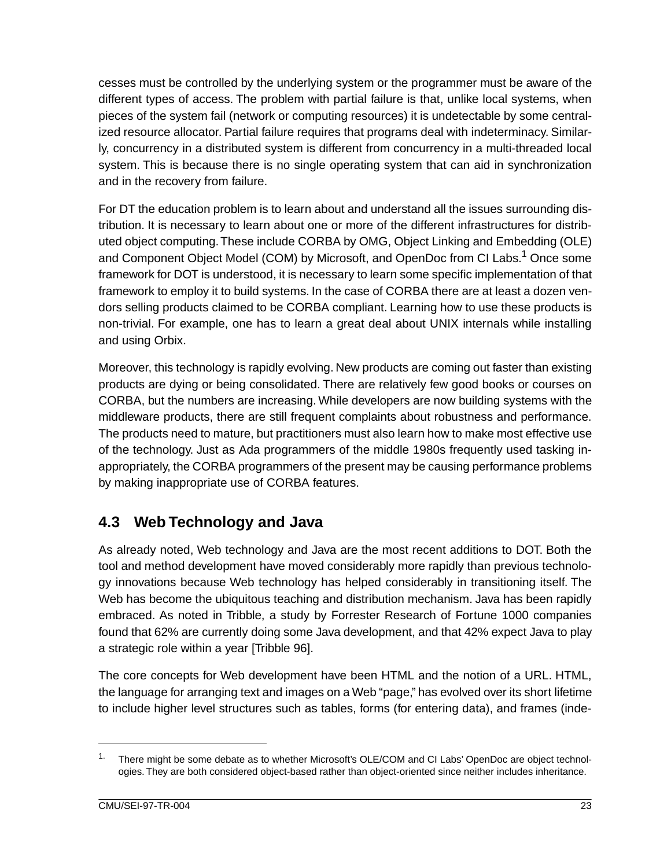<span id="page-29-0"></span>cesses must be controlled by the underlying system or the programmer must be aware of the different types of access. The problem with partial failure is that, unlike local systems, when pieces of the system fail (network or computing resources) it is undetectable by some centralized resource allocator. Partial failure requires that programs deal with indeterminacy. Similarly, concurrency in a distributed system is different from concurrency in a multi-threaded local system. This is because there is no single operating system that can aid in synchronization and in the recovery from failure.

For DT the education problem is to learn about and understand all the issues surrounding distribution. It is necessary to learn about one or more of the different infrastructures for distributed object computing. These include CORBA by OMG, Object Linking and Embedding (OLE) and Component Object Model (COM) by Microsoft, and OpenDoc from CI Labs.<sup>1</sup> Once some framework for DOT is understood, it is necessary to learn some specific implementation of that framework to employ it to build systems. In the case of CORBA there are at least a dozen vendors selling products claimed to be CORBA compliant. Learning how to use these products is non-trivial. For example, one has to learn a great deal about UNIX internals while installing and using Orbix.

Moreover, this technology is rapidly evolving. New products are coming out faster than existing products are dying or being consolidated. There are relatively few good books or courses on CORBA, but the numbers are increasing. While developers are now building systems with the middleware products, there are still frequent complaints about robustness and performance. The products need to mature, but practitioners must also learn how to make most effective use of the technology. Just as Ada programmers of the middle 1980s frequently used tasking inappropriately, the CORBA programmers of the present may be causing performance problems by making inappropriate use of CORBA features.

## **4.3 Web Technology and Java**

As already noted, Web technology and Java are the most recent additions to DOT. Both the tool and method development have moved considerably more rapidly than previous technology innovations because Web technology has helped considerably in transitioning itself. The Web has become the ubiquitous teaching and distribution mechanism. Java has been rapidly embraced. As noted in Tribble, a study by Forrester Research of Fortune 1000 companies found that 62% are currently doing some Java development, and that 42% expect Java to play a strategic role within a year [Tribble 96].

The core concepts for Web development have been HTML and the notion of a URL. HTML, the language for arranging text and images on a Web "page," has evolved over its short lifetime to include higher level structures such as tables, forms (for entering data), and frames (inde-

<sup>&</sup>lt;sup>1.</sup> There might be some debate as to whether Microsoft's OLE/COM and CI Labs' OpenDoc are object technologies. They are both considered object-based rather than object-oriented since neither includes inheritance.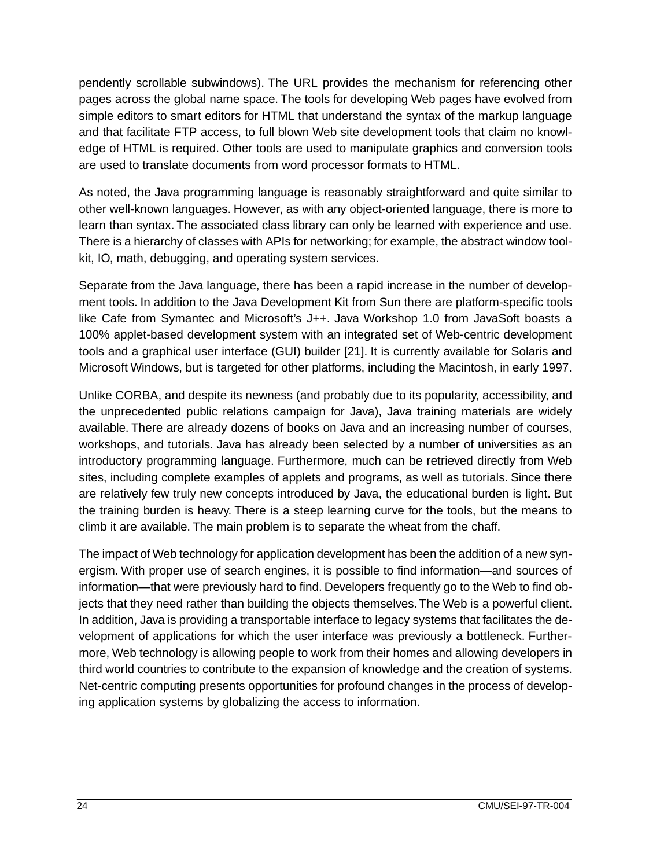pendently scrollable subwindows). The URL provides the mechanism for referencing other pages across the global name space. The tools for developing Web pages have evolved from simple editors to smart editors for HTML that understand the syntax of the markup language and that facilitate FTP access, to full blown Web site development tools that claim no knowledge of HTML is required. Other tools are used to manipulate graphics and conversion tools are used to translate documents from word processor formats to HTML.

As noted, the Java programming language is reasonably straightforward and quite similar to other well-known languages. However, as with any object-oriented language, there is more to learn than syntax. The associated class library can only be learned with experience and use. There is a hierarchy of classes with APIs for networking; for example, the abstract window toolkit, IO, math, debugging, and operating system services.

Separate from the Java language, there has been a rapid increase in the number of development tools. In addition to the Java Development Kit from Sun there are platform-specific tools like Cafe from Symantec and Microsoft's J++. Java Workshop 1.0 from JavaSoft boasts a 100% applet-based development system with an integrated set of Web-centric development tools and a graphical user interface (GUI) builder [21]. It is currently available for Solaris and Microsoft Windows, but is targeted for other platforms, including the Macintosh, in early 1997.

Unlike CORBA, and despite its newness (and probably due to its popularity, accessibility, and the unprecedented public relations campaign for Java), Java training materials are widely available. There are already dozens of books on Java and an increasing number of courses, workshops, and tutorials. Java has already been selected by a number of universities as an introductory programming language. Furthermore, much can be retrieved directly from Web sites, including complete examples of applets and programs, as well as tutorials. Since there are relatively few truly new concepts introduced by Java, the educational burden is light. But the training burden is heavy. There is a steep learning curve for the tools, but the means to climb it are available. The main problem is to separate the wheat from the chaff.

The impact of Web technology for application development has been the addition of a new synergism. With proper use of search engines, it is possible to find information—and sources of information—that were previously hard to find. Developers frequently go to the Web to find objects that they need rather than building the objects themselves. The Web is a powerful client. In addition, Java is providing a transportable interface to legacy systems that facilitates the development of applications for which the user interface was previously a bottleneck. Furthermore, Web technology is allowing people to work from their homes and allowing developers in third world countries to contribute to the expansion of knowledge and the creation of systems. Net-centric computing presents opportunities for profound changes in the process of developing application systems by globalizing the access to information.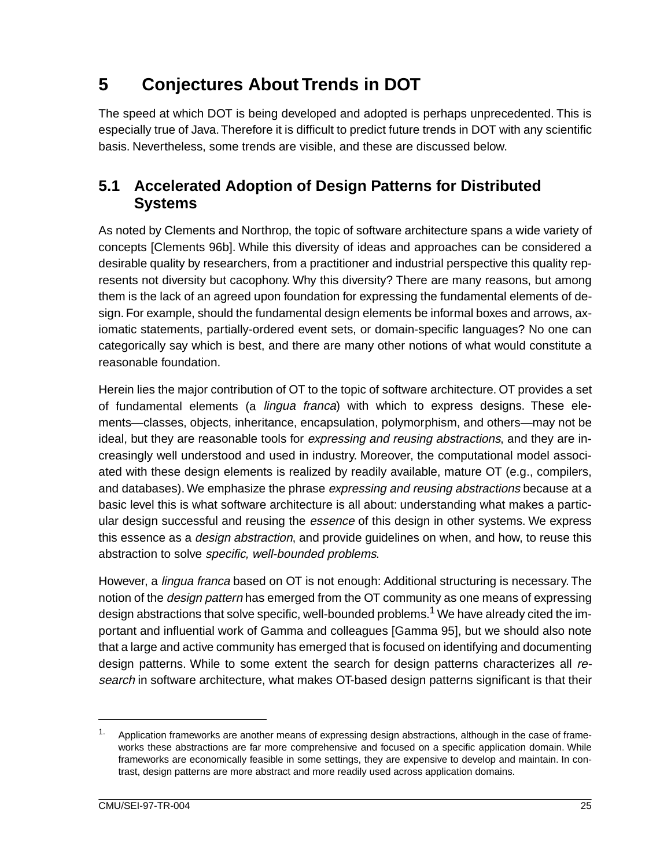## <span id="page-31-0"></span>**5 Conjectures About Trends in DOT**

The speed at which DOT is being developed and adopted is perhaps unprecedented. This is especially true of Java. Therefore it is difficult to predict future trends in DOT with any scientific basis. Nevertheless, some trends are visible, and these are discussed below.

### **5.1 Accelerated Adoption of Design Patterns for Distributed Systems**

As noted by Clements and Northrop, the topic of software architecture spans a wide variety of concepts [Clements 96b]. While this diversity of ideas and approaches can be considered a desirable quality by researchers, from a practitioner and industrial perspective this quality represents not diversity but cacophony. Why this diversity? There are many reasons, but among them is the lack of an agreed upon foundation for expressing the fundamental elements of design. For example, should the fundamental design elements be informal boxes and arrows, axiomatic statements, partially-ordered event sets, or domain-specific languages? No one can categorically say which is best, and there are many other notions of what would constitute a reasonable foundation.

Herein lies the major contribution of OT to the topic of software architecture. OT provides a set of fundamental elements (a *lingua franca*) with which to express designs. These elements—classes, objects, inheritance, encapsulation, polymorphism, and others—may not be ideal, but they are reasonable tools for *expressing and reusing abstractions*, and they are increasingly well understood and used in industry. Moreover, the computational model associated with these design elements is realized by readily available, mature OT (e.g., compilers, and databases). We emphasize the phrase expressing and reusing abstractions because at a basic level this is what software architecture is all about: understanding what makes a particular design successful and reusing the *essence* of this design in other systems. We express this essence as a *design abstraction*, and provide guidelines on when, and how, to reuse this abstraction to solve specific, well-bounded problems.

However, a *lingua franca* based on OT is not enough: Additional structuring is necessary. The notion of the *design pattern* has emerged from the OT community as one means of expressing design abstractions that solve specific, well-bounded problems.<sup>1</sup> We have already cited the important and influential work of Gamma and colleagues [Gamma 95], but we should also note that a large and active community has emerged that is focused on identifying and documenting design patterns. While to some extent the search for design patterns characterizes all research in software architecture, what makes OT-based design patterns significant is that their

<sup>&</sup>lt;sup>1.</sup> Application frameworks are another means of expressing design abstractions, although in the case of frameworks these abstractions are far more comprehensive and focused on a specific application domain. While frameworks are economically feasible in some settings, they are expensive to develop and maintain. In contrast, design patterns are more abstract and more readily used across application domains.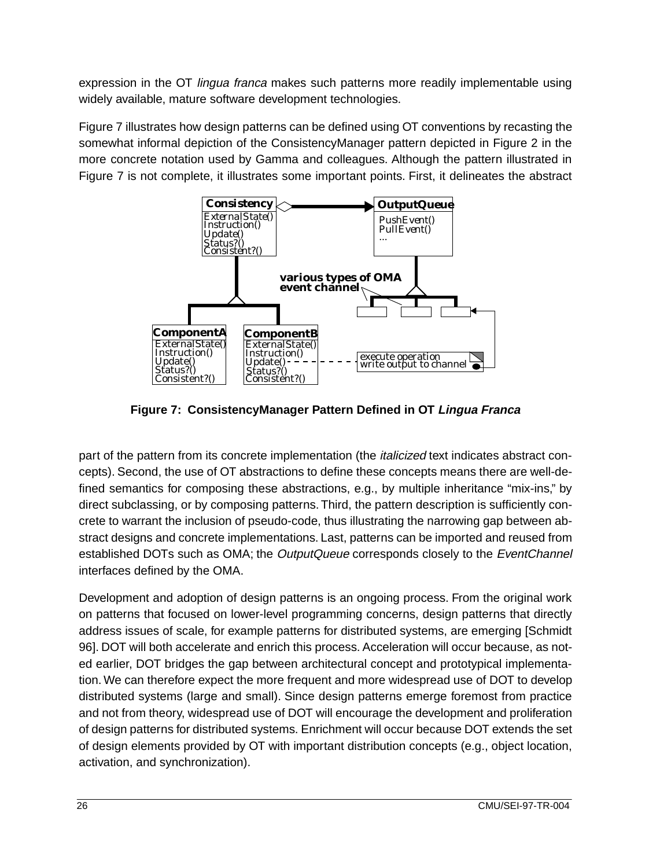<span id="page-32-0"></span>expression in the OT *lingua franca* makes such patterns more readily implementable using widely available, mature software development technologies.

Figure 7 illustrates how design patterns can be defined using OT conventions by recasting the somewhat informal depiction of the ConsistencyManager pattern depicted in [Figure 2](#page-17-0) in the more concrete notation used by Gamma and colleagues. Although the pattern illustrated in Figure 7 is not complete, it illustrates some important points. First, it delineates the abstract



**Figure 7: ConsistencyManager Pattern Defined in OT Lingua Franca**

part of the pattern from its concrete implementation (the *italicized* text indicates abstract concepts). Second, the use of OT abstractions to define these concepts means there are well-defined semantics for composing these abstractions, e.g., by multiple inheritance "mix-ins," by direct subclassing, or by composing patterns. Third, the pattern description is sufficiently concrete to warrant the inclusion of pseudo-code, thus illustrating the narrowing gap between abstract designs and concrete implementations. Last, patterns can be imported and reused from established DOTs such as OMA; the OutputQueue corresponds closely to the EventChannel interfaces defined by the OMA.

Development and adoption of design patterns is an ongoing process. From the original work on patterns that focused on lower-level programming concerns, design patterns that directly address issues of scale, for example patterns for distributed systems, are emerging [Schmidt 96]. DOT will both accelerate and enrich this process. Acceleration will occur because, as noted earlier, DOT bridges the gap between architectural concept and prototypical implementation. We can therefore expect the more frequent and more widespread use of DOT to develop distributed systems (large and small). Since design patterns emerge foremost from practice and not from theory, widespread use of DOT will encourage the development and proliferation of design patterns for distributed systems. Enrichment will occur because DOT extends the set of design elements provided by OT with important distribution concepts (e.g., object location, activation, and synchronization).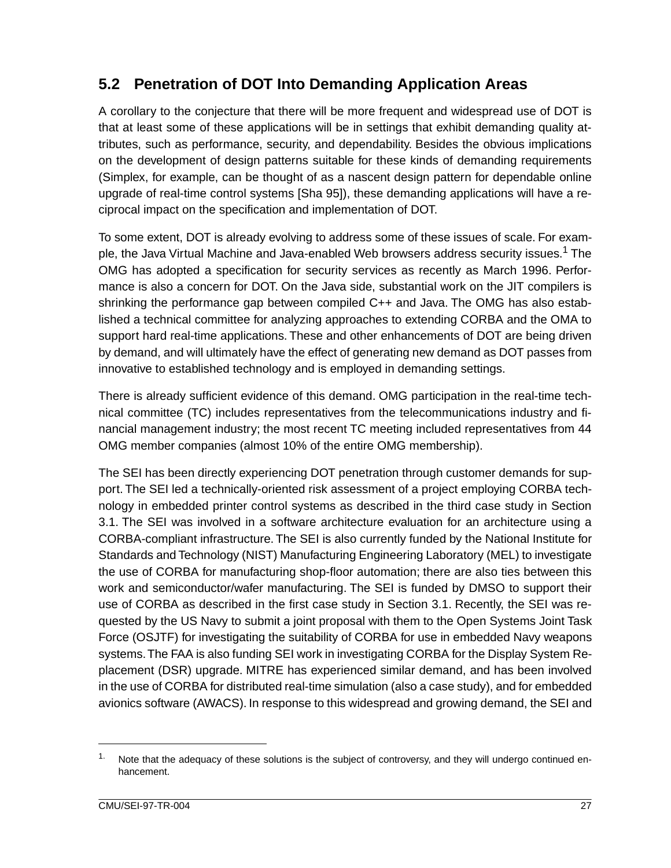## <span id="page-33-0"></span>**5.2 Penetration of DOT Into Demanding Application Areas**

A corollary to the conjecture that there will be more frequent and widespread use of DOT is that at least some of these applications will be in settings that exhibit demanding quality attributes, such as performance, security, and dependability. Besides the obvious implications on the development of design patterns suitable for these kinds of demanding requirements (Simplex, for example, can be thought of as a nascent design pattern for dependable online upgrade of real-time control systems [Sha 95]), these demanding applications will have a reciprocal impact on the specification and implementation of DOT.

To some extent, DOT is already evolving to address some of these issues of scale. For example, the Java Virtual Machine and Java-enabled Web browsers address security issues.<sup>1</sup> The OMG has adopted a specification for security services as recently as March 1996. Performance is also a concern for DOT. On the Java side, substantial work on the JIT compilers is shrinking the performance gap between compiled C++ and Java. The OMG has also established a technical committee for analyzing approaches to extending CORBA and the OMA to support hard real-time applications. These and other enhancements of DOT are being driven by demand, and will ultimately have the effect of generating new demand as DOT passes from innovative to established technology and is employed in demanding settings.

There is already sufficient evidence of this demand. OMG participation in the real-time technical committee (TC) includes representatives from the telecommunications industry and financial management industry; the most recent TC meeting included representatives from 44 OMG member companies (almost 10% of the entire OMG membership).

The SEI has been directly experiencing DOT penetration through customer demands for support. The SEI led a technically-oriented risk assessment of a project employing CORBA technology in embedded printer control systems as described in the third case study in Section 3.1. The SEI was involved in a software architecture evaluation for an architecture using a CORBA-compliant infrastructure. The SEI is also currently funded by the National Institute for Standards and Technology (NIST) Manufacturing Engineering Laboratory (MEL) to investigate the use of CORBA for manufacturing shop-floor automation; there are also ties between this work and semiconductor/wafer manufacturing. The SEI is funded by DMSO to support their use of CORBA as described in the first case study in Section 3.1. Recently, the SEI was requested by the US Navy to submit a joint proposal with them to the Open Systems Joint Task Force (OSJTF) for investigating the suitability of CORBA for use in embedded Navy weapons systems. The FAA is also funding SEI work in investigating CORBA for the Display System Replacement (DSR) upgrade. MITRE has experienced similar demand, and has been involved in the use of CORBA for distributed real-time simulation (also a case study), and for embedded avionics software (AWACS). In response to this widespread and growing demand, the SEI and

 $1.$  Note that the adequacy of these solutions is the subject of controversy, and they will undergo continued enhancement.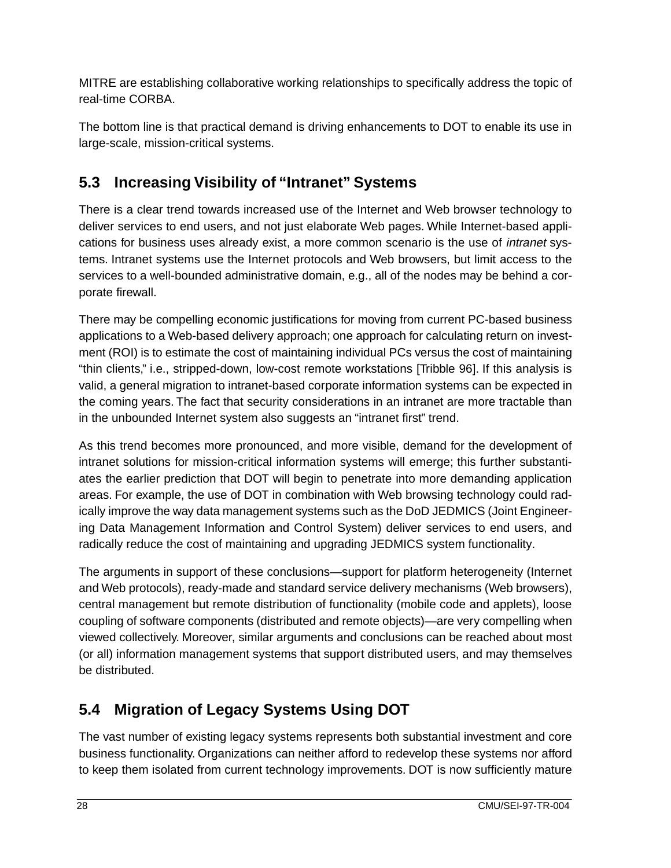<span id="page-34-0"></span>MITRE are establishing collaborative working relationships to specifically address the topic of real-time CORBA.

The bottom line is that practical demand is driving enhancements to DOT to enable its use in large-scale, mission-critical systems.

## **5.3 Increasing Visibility of "Intranet" Systems**

There is a clear trend towards increased use of the Internet and Web browser technology to deliver services to end users, and not just elaborate Web pages. While Internet-based applications for business uses already exist, a more common scenario is the use of intranet systems. Intranet systems use the Internet protocols and Web browsers, but limit access to the services to a well-bounded administrative domain, e.g., all of the nodes may be behind a corporate firewall.

There may be compelling economic justifications for moving from current PC-based business applications to a Web-based delivery approach; one approach for calculating return on investment (ROI) is to estimate the cost of maintaining individual PCs versus the cost of maintaining "thin clients," i.e., stripped-down, low-cost remote workstations [Tribble 96]. If this analysis is valid, a general migration to intranet-based corporate information systems can be expected in the coming years. The fact that security considerations in an intranet are more tractable than in the unbounded Internet system also suggests an "intranet first" trend.

As this trend becomes more pronounced, and more visible, demand for the development of intranet solutions for mission-critical information systems will emerge; this further substantiates the earlier prediction that DOT will begin to penetrate into more demanding application areas. For example, the use of DOT in combination with Web browsing technology could radically improve the way data management systems such as the DoD JEDMICS (Joint Engineering Data Management Information and Control System) deliver services to end users, and radically reduce the cost of maintaining and upgrading JEDMICS system functionality.

The arguments in support of these conclusions—support for platform heterogeneity (Internet and Web protocols), ready-made and standard service delivery mechanisms (Web browsers), central management but remote distribution of functionality (mobile code and applets), loose coupling of software components (distributed and remote objects)—are very compelling when viewed collectively. Moreover, similar arguments and conclusions can be reached about most (or all) information management systems that support distributed users, and may themselves be distributed.

## **5.4 Migration of Legacy Systems Using DOT**

The vast number of existing legacy systems represents both substantial investment and core business functionality. Organizations can neither afford to redevelop these systems nor afford to keep them isolated from current technology improvements. DOT is now sufficiently mature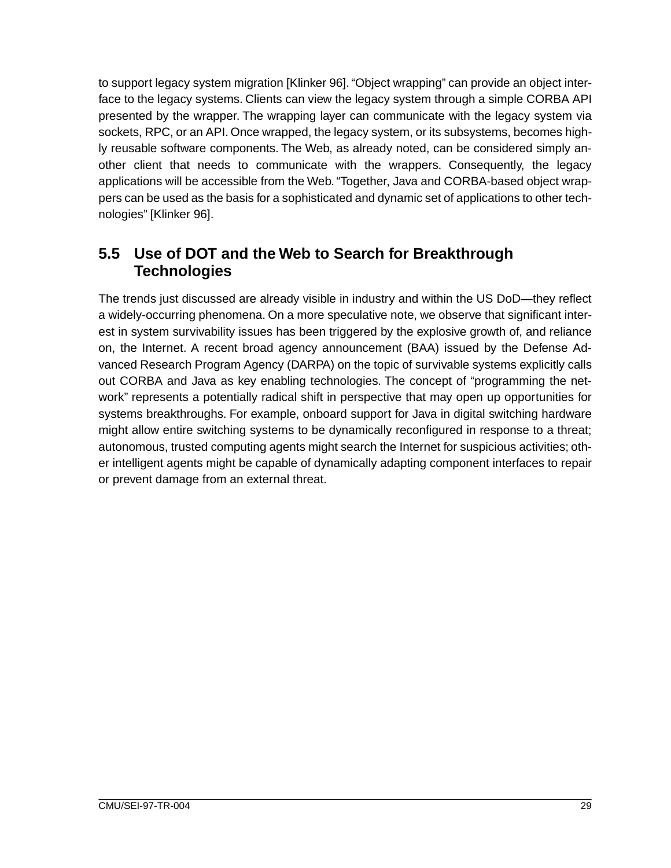<span id="page-35-0"></span>to support legacy system migration [Klinker 96]. "Object wrapping" can provide an object interface to the legacy systems. Clients can view the legacy system through a simple CORBA API presented by the wrapper. The wrapping layer can communicate with the legacy system via sockets, RPC, or an API. Once wrapped, the legacy system, or its subsystems, becomes highly reusable software components. The Web, as already noted, can be considered simply another client that needs to communicate with the wrappers. Consequently, the legacy applications will be accessible from the Web. "Together, Java and CORBA-based object wrappers can be used as the basis for a sophisticated and dynamic set of applications to other technologies" [Klinker 96].

### **5.5 Use of DOT and the Web to Search for Breakthrough Technologies**

The trends just discussed are already visible in industry and within the US DoD—they reflect a widely-occurring phenomena. On a more speculative note, we observe that significant interest in system survivability issues has been triggered by the explosive growth of, and reliance on, the Internet. A recent broad agency announcement (BAA) issued by the Defense Advanced Research Program Agency (DARPA) on the topic of survivable systems explicitly calls out CORBA and Java as key enabling technologies. The concept of "programming the network" represents a potentially radical shift in perspective that may open up opportunities for systems breakthroughs. For example, onboard support for Java in digital switching hardware might allow entire switching systems to be dynamically reconfigured in response to a threat; autonomous, trusted computing agents might search the Internet for suspicious activities; other intelligent agents might be capable of dynamically adapting component interfaces to repair or prevent damage from an external threat.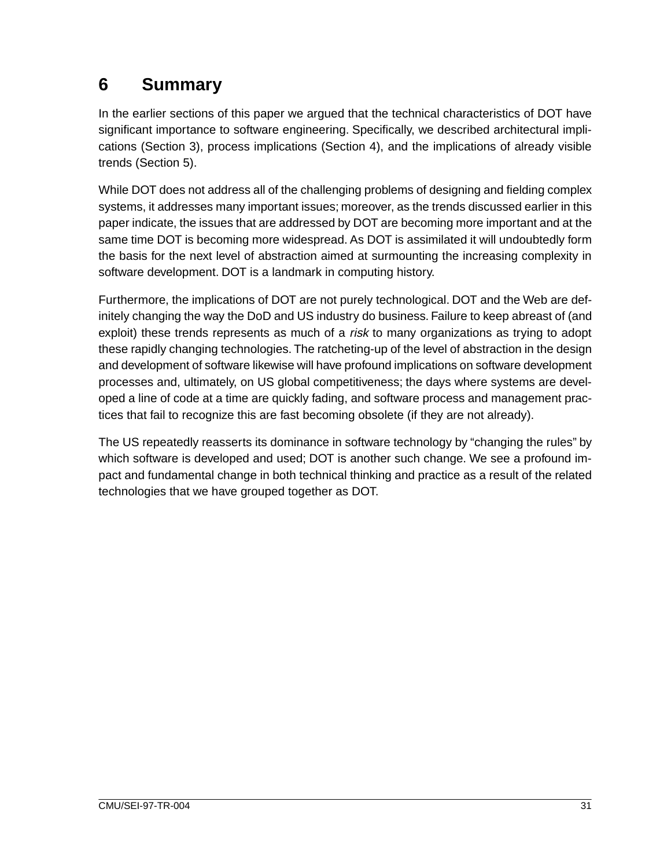# <span id="page-37-0"></span>**6 Summary**

In the earlier sections of this paper we argued that the technical characteristics of DOT have significant importance to software engineering. Specifically, we described architectural implications (Section 3), process implications (Section 4), and the implications of already visible trends (Section 5).

While DOT does not address all of the challenging problems of designing and fielding complex systems, it addresses many important issues; moreover, as the trends discussed earlier in this paper indicate, the issues that are addressed by DOT are becoming more important and at the same time DOT is becoming more widespread. As DOT is assimilated it will undoubtedly form the basis for the next level of abstraction aimed at surmounting the increasing complexity in software development. DOT is a landmark in computing history.

Furthermore, the implications of DOT are not purely technological. DOT and the Web are definitely changing the way the DoD and US industry do business. Failure to keep abreast of (and exploit) these trends represents as much of a *risk* to many organizations as trying to adopt these rapidly changing technologies. The ratcheting-up of the level of abstraction in the design and development of software likewise will have profound implications on software development processes and, ultimately, on US global competitiveness; the days where systems are developed a line of code at a time are quickly fading, and software process and management practices that fail to recognize this are fast becoming obsolete (if they are not already).

The US repeatedly reasserts its dominance in software technology by "changing the rules" by which software is developed and used; DOT is another such change. We see a profound impact and fundamental change in both technical thinking and practice as a result of the related technologies that we have grouped together as DOT.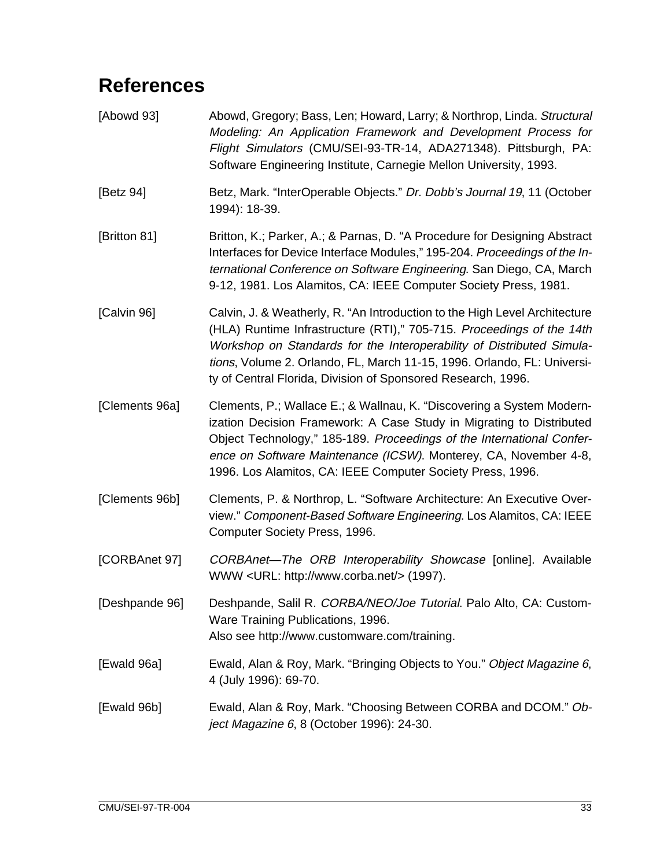# <span id="page-39-0"></span>**References**

| [Abowd 93]     | Abowd, Gregory; Bass, Len; Howard, Larry; & Northrop, Linda. Structural<br>Modeling: An Application Framework and Development Process for<br>Flight Simulators (CMU/SEI-93-TR-14, ADA271348). Pittsburgh, PA:<br>Software Engineering Institute, Carnegie Mellon University, 1993.                                                                                      |
|----------------|-------------------------------------------------------------------------------------------------------------------------------------------------------------------------------------------------------------------------------------------------------------------------------------------------------------------------------------------------------------------------|
| [Betz 94]      | Betz, Mark. "InterOperable Objects." Dr. Dobb's Journal 19, 11 (October<br>1994): 18-39.                                                                                                                                                                                                                                                                                |
| [Britton 81]   | Britton, K.; Parker, A.; & Parnas, D. "A Procedure for Designing Abstract<br>Interfaces for Device Interface Modules," 195-204. Proceedings of the In-<br>ternational Conference on Software Engineering. San Diego, CA, March<br>9-12, 1981. Los Alamitos, CA: IEEE Computer Society Press, 1981.                                                                      |
| [Calvin 96]    | Calvin, J. & Weatherly, R. "An Introduction to the High Level Architecture<br>(HLA) Runtime Infrastructure (RTI)," 705-715. Proceedings of the 14th<br>Workshop on Standards for the Interoperability of Distributed Simula-<br>tions, Volume 2. Orlando, FL, March 11-15, 1996. Orlando, FL: Universi-<br>ty of Central Florida, Division of Sponsored Research, 1996. |
| [Clements 96a] | Clements, P.; Wallace E.; & Wallnau, K. "Discovering a System Modern-<br>ization Decision Framework: A Case Study in Migrating to Distributed<br>Object Technology," 185-189. Proceedings of the International Confer-<br>ence on Software Maintenance (ICSW). Monterey, CA, November 4-8,<br>1996. Los Alamitos, CA: IEEE Computer Society Press, 1996.                |
| [Clements 96b] | Clements, P. & Northrop, L. "Software Architecture: An Executive Over-<br>view." Component-Based Software Engineering. Los Alamitos, CA: IEEE<br>Computer Society Press, 1996.                                                                                                                                                                                          |
| [CORBAnet 97]  | CORBAnet-The ORB Interoperability Showcase [online]. Available<br>WWW <url: http:="" www.corba.net=""></url:> (1997).                                                                                                                                                                                                                                                   |
| [Deshpande 96] | Deshpande, Salil R. CORBA/NEO/Joe Tutorial. Palo Alto, CA: Custom-<br>Ware Training Publications, 1996.<br>Also see http://www.customware.com/training.                                                                                                                                                                                                                 |
| [Ewald 96a]    | Ewald, Alan & Roy, Mark. "Bringing Objects to You." Object Magazine 6,<br>4 (July 1996): 69-70.                                                                                                                                                                                                                                                                         |
| [Ewald 96b]    | Ewald, Alan & Roy, Mark. "Choosing Between CORBA and DCOM." Ob-<br>ject Magazine 6, 8 (October 1996): 24-30.                                                                                                                                                                                                                                                            |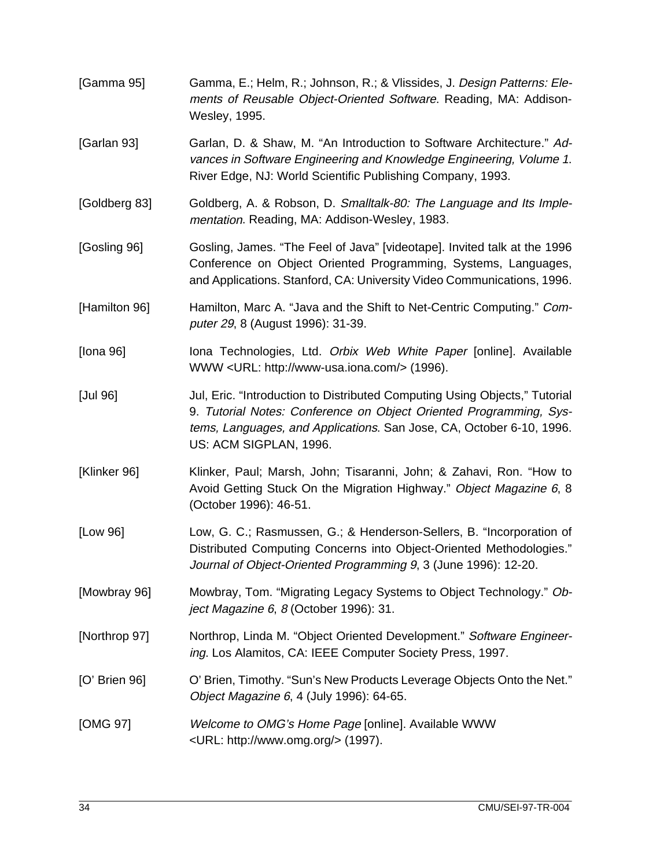| [Gamma 95]    | Gamma, E.; Helm, R.; Johnson, R.; & Vlissides, J. Design Patterns: Ele-<br>ments of Reusable Object-Oriented Software. Reading, MA: Addison-<br>Wesley, 1995.                                                                                      |  |  |  |  |
|---------------|----------------------------------------------------------------------------------------------------------------------------------------------------------------------------------------------------------------------------------------------------|--|--|--|--|
| [Garlan 93]   | Garlan, D. & Shaw, M. "An Introduction to Software Architecture." Ad-<br>vances in Software Engineering and Knowledge Engineering, Volume 1.<br>River Edge, NJ: World Scientific Publishing Company, 1993.                                         |  |  |  |  |
| [Goldberg 83] | Goldberg, A. & Robson, D. Smalltalk-80: The Language and Its Imple-<br>mentation. Reading, MA: Addison-Wesley, 1983.                                                                                                                               |  |  |  |  |
| [Gosling 96]  | Gosling, James. "The Feel of Java" [videotape]. Invited talk at the 1996<br>Conference on Object Oriented Programming, Systems, Languages,<br>and Applications. Stanford, CA: University Video Communications, 1996.                               |  |  |  |  |
| [Hamilton 96] | Hamilton, Marc A. "Java and the Shift to Net-Centric Computing." Com-<br>puter 29, 8 (August 1996): 31-39.                                                                                                                                         |  |  |  |  |
| [lona 96]     | Iona Technologies, Ltd. Orbix Web White Paper [online]. Available<br>WWW <url: http:="" www-usa.iona.com=""></url:> (1996).                                                                                                                        |  |  |  |  |
| [Jul 96]      | Jul, Eric. "Introduction to Distributed Computing Using Objects," Tutorial<br>9. Tutorial Notes: Conference on Object Oriented Programming, Sys-<br>tems, Languages, and Applications. San Jose, CA, October 6-10, 1996.<br>US: ACM SIGPLAN, 1996. |  |  |  |  |
| [Klinker 96]  | Klinker, Paul; Marsh, John; Tisaranni, John; & Zahavi, Ron. "How to<br>Avoid Getting Stuck On the Migration Highway." Object Magazine 6, 8<br>(October 1996): 46-51.                                                                               |  |  |  |  |
| [Low 96]      | Low, G. C.; Rasmussen, G.; & Henderson-Sellers, B. "Incorporation of<br>Distributed Computing Concerns into Object-Oriented Methodologies."<br>Journal of Object-Oriented Programming 9, 3 (June 1996): 12-20.                                     |  |  |  |  |
| [Mowbray 96]  | Mowbray, Tom. "Migrating Legacy Systems to Object Technology." Ob-<br>ject Magazine 6, 8 (October 1996): 31.                                                                                                                                       |  |  |  |  |
| [Northrop 97] | Northrop, Linda M. "Object Oriented Development." Software Engineer-<br>ing. Los Alamitos, CA: IEEE Computer Society Press, 1997.                                                                                                                  |  |  |  |  |
| [O' Brien 96] | O' Brien, Timothy. "Sun's New Products Leverage Objects Onto the Net."<br>Object Magazine 6, 4 (July 1996): 64-65.                                                                                                                                 |  |  |  |  |
| [OMG 97]      | Welcome to OMG's Home Page [online]. Available WWW<br><url: http:="" www.omg.org=""></url:> (1997).                                                                                                                                                |  |  |  |  |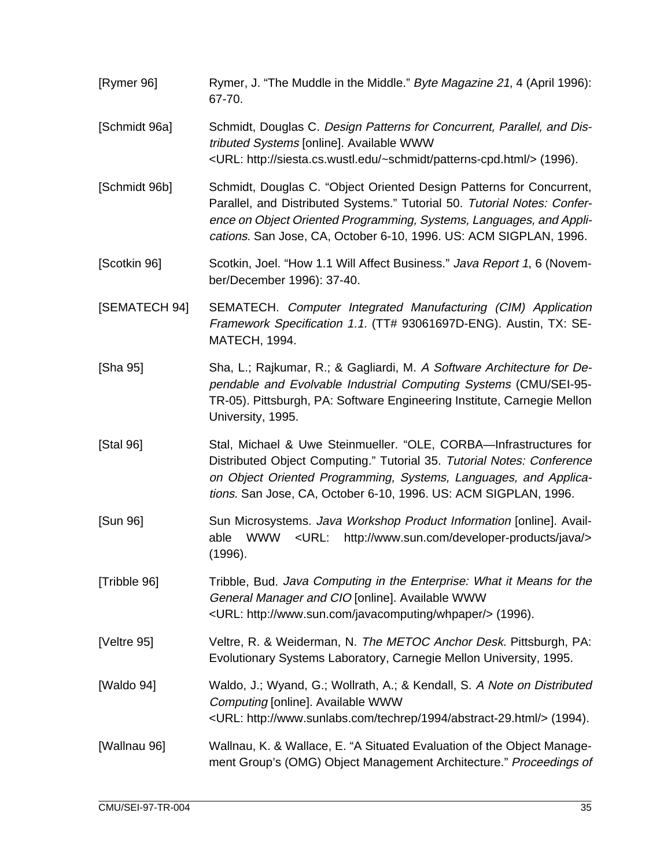| [Rymer 96]    | Rymer, J. "The Muddle in the Middle." Byte Magazine 21, 4 (April 1996):<br>67-70.                                                                                                                                                                                                            |  |  |  |  |
|---------------|----------------------------------------------------------------------------------------------------------------------------------------------------------------------------------------------------------------------------------------------------------------------------------------------|--|--|--|--|
| [Schmidt 96a] | Schmidt, Douglas C. Design Patterns for Concurrent, Parallel, and Dis-<br>tributed Systems [online]. Available WWW<br><url: http:="" patterns-cpd.html="" siesta.cs.wustl.edu="" ~schmidt=""></url:> (1996).                                                                                 |  |  |  |  |
| [Schmidt 96b] | Schmidt, Douglas C. "Object Oriented Design Patterns for Concurrent,<br>Parallel, and Distributed Systems." Tutorial 50. Tutorial Notes: Confer-<br>ence on Object Oriented Programming, Systems, Languages, and Appli-<br>cations. San Jose, CA, October 6-10, 1996. US: ACM SIGPLAN, 1996. |  |  |  |  |
| [Scotkin 96]  | Scotkin, Joel. "How 1.1 Will Affect Business." Java Report 1, 6 (Novem-<br>ber/December 1996): 37-40.                                                                                                                                                                                        |  |  |  |  |
| [SEMATECH 94] | SEMATECH. Computer Integrated Manufacturing (CIM) Application<br>Framework Specification 1.1. (TT# 93061697D-ENG). Austin, TX: SE-<br><b>MATECH, 1994.</b>                                                                                                                                   |  |  |  |  |
| [Sha 95]      | Sha, L.; Rajkumar, R.; & Gagliardi, M. A Software Architecture for De-<br>pendable and Evolvable Industrial Computing Systems (CMU/SEI-95-<br>TR-05). Pittsburgh, PA: Software Engineering Institute, Carnegie Mellon<br>University, 1995.                                                   |  |  |  |  |
| [Stal 96]     | Stal, Michael & Uwe Steinmueller. "OLE, CORBA-Infrastructures for<br>Distributed Object Computing." Tutorial 35. Tutorial Notes: Conference<br>on Object Oriented Programming, Systems, Languages, and Applica-<br>tions. San Jose, CA, October 6-10, 1996. US: ACM SIGPLAN, 1996.           |  |  |  |  |
| [Sun 96]      | Sun Microsystems. Java Workshop Product Information [online]. Avail-<br>WWW<br><url:<br>http://www.sun.com/developer-products/java/&gt;<br/>able<br/>(1996).</url:<br>                                                                                                                       |  |  |  |  |
| [Tribble 96]  | Tribble, Bud. Java Computing in the Enterprise: What it Means for the<br>General Manager and CIO [online]. Available WWW<br><url: http:="" javacomputing="" whpaper="" www.sun.com=""></url:> (1996).                                                                                        |  |  |  |  |
| [Veltre 95]   | Veltre, R. & Weiderman, N. The METOC Anchor Desk. Pittsburgh, PA:<br>Evolutionary Systems Laboratory, Carnegie Mellon University, 1995.                                                                                                                                                      |  |  |  |  |
| [Waldo 94]    | Waldo, J.; Wyand, G.; Wollrath, A.; & Kendall, S. A Note on Distributed<br>Computing [online]. Available WWW<br><url: 1994="" abstract-29.html="" http:="" techrep="" www.sunlabs.com=""></url:> (1994).                                                                                     |  |  |  |  |
| [Wallnau 96]  | Wallnau, K. & Wallace, E. "A Situated Evaluation of the Object Manage-<br>ment Group's (OMG) Object Management Architecture." Proceedings of                                                                                                                                                 |  |  |  |  |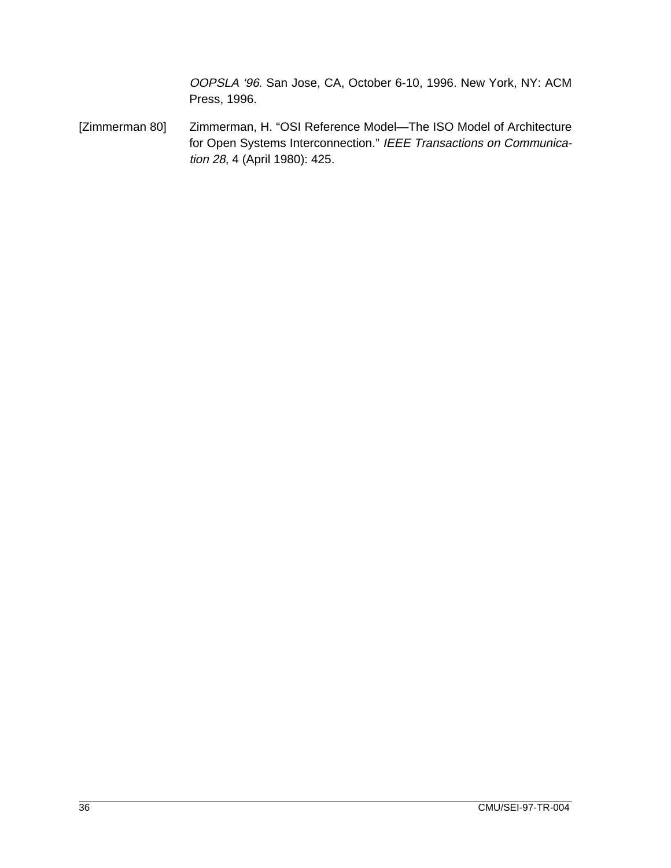OOPSLA '96. San Jose, CA, October 6-10, 1996. New York, NY: ACM Press, 1996.

[Zimmerman 80] Zimmerman, H. "OSI Reference Model—The ISO Model of Architecture for Open Systems Interconnection." IEEE Transactions on Communication 28, 4 (April 1980): 425.